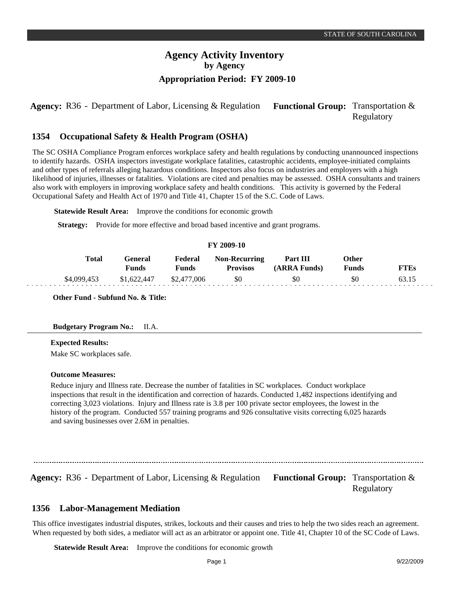**Agency:** R36 - Department of Labor, Licensing & Regulation Functional Group: Transportation & Regulatory

#### **Occupational Safety & Health Program (OSHA) 1354**

The SC OSHA Compliance Program enforces workplace safety and health regulations by conducting unannounced inspections to identify hazards. OSHA inspectors investigate workplace fatalities, catastrophic accidents, employee-initiated complaints and other types of referrals alleging hazardous conditions. Inspectors also focus on industries and employers with a high likelihood of injuries, illnesses or fatalities. Violations are cited and penalties may be assessed. OSHA consultants and trainers also work with employers in improving workplace safety and health conditions. This activity is governed by the Federal Occupational Safety and Health Act of 1970 and Title 41, Chapter 15 of the S.C. Code of Laws.

**Statewide Result Area:** Improve the conditions for economic growth

**Strategy:** Provide for more effective and broad based incentive and grant programs.

#### **FY 2009-10**

| <b>Total</b> | General<br><b>Funds</b> | Federal<br>Funds | <b>Non-Recurring</b><br><b>Provisos</b> | Part III<br>(ARRA Funds) | Other<br>Funds | <b>FTEs</b> |
|--------------|-------------------------|------------------|-----------------------------------------|--------------------------|----------------|-------------|
| \$4,099,453  | \$1,622,447             | \$2,477,006      | \$0                                     | \$0                      | \$0            | 63.15       |

**Other Fund - Subfund No. & Title:**

## **Budgetary Program No.:** II.A.

#### **Expected Results:**

Make SC workplaces safe.

#### **Outcome Measures:**

Reduce injury and Illness rate. Decrease the number of fatalities in SC workplaces. Conduct workplace inspections that result in the identification and correction of hazards. Conducted 1,482 inspections identifying and correcting 3,023 violations. Injury and Illness rate is 3.8 per 100 private sector employees, the lowest in the history of the program. Conducted 557 training programs and 926 consultative visits correcting 6,025 hazards and saving businesses over 2.6M in penalties.

Agency: R36 - Department of Labor, Licensing & Regulation Functional Group: Transportation &

Regulatory

#### **Labor-Management Mediation 1356**

This office investigates industrial disputes, strikes, lockouts and their causes and tries to help the two sides reach an agreement. When requested by both sides, a mediator will act as an arbitrator or appoint one. Title 41, Chapter 10 of the SC Code of Laws.

**Statewide Result Area:** Improve the conditions for economic growth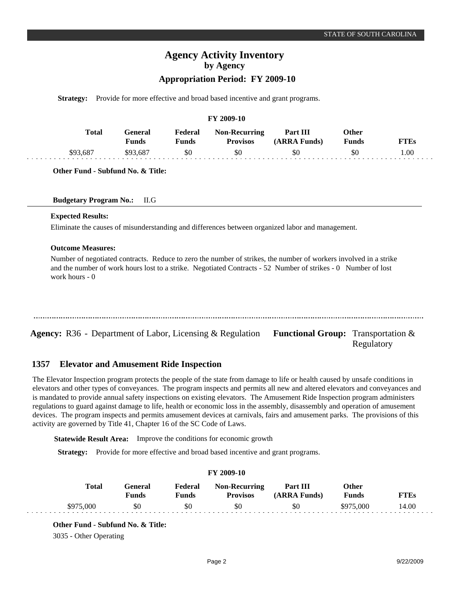# **Agency Activity Inventory by Agency**

# **Appropriation Period: FY 2009-10**

**Strategy:** Provide for more effective and broad based incentive and grant programs.

#### **FY 2009-10**

| <b>Total</b> | 'eneral<br>$T$ unds | Federal<br>Funds | <b>Non-Recurring</b><br><b>Provisos</b> | Part III<br>(ARRA Funds) | )ther | `Es  |
|--------------|---------------------|------------------|-----------------------------------------|--------------------------|-------|------|
| \$93.68      | .681                | \$0              | \$0                                     | \$0                      | \$0   | 00.1 |

**Other Fund - Subfund No. & Title:**

| <b>Budgetary Program No.:</b> |  |  |  | II.G |
|-------------------------------|--|--|--|------|
|-------------------------------|--|--|--|------|

#### **Expected Results:**

Eliminate the causes of misunderstanding and differences between organized labor and management.

#### **Outcome Measures:**

Number of negotiated contracts. Reduce to zero the number of strikes, the number of workers involved in a strike and the number of work hours lost to a strike. Negotiated Contracts - 52 Number of strikes - 0 Number of lost work hours - 0

| Agency: R36 - Department of Labor, Licensing & Regulation Functional Group: Transportation & |  |
|----------------------------------------------------------------------------------------------|--|

#### **Elevator and Amusement Ride Inspection 1357**

The Elevator Inspection program protects the people of the state from damage to life or health caused by unsafe conditions in elevators and other types of conveyances. The program inspects and permits all new and altered elevators and conveyances and is mandated to provide annual safety inspections on existing elevators. The Amusement Ride Inspection program administers regulations to guard against damage to life, health or economic loss in the assembly, disassembly and operation of amusement devices. The program inspects and permits amusement devices at carnivals, fairs and amusement parks. The provisions of this activity are governed by Title 41, Chapter 16 of the SC Code of Laws.

**Statewide Result Area:** Improve the conditions for economic growth

**Strategy:** Provide for more effective and broad based incentive and grant programs.

| <b>FY 2009-10</b> |                         |                  |                                         |                          |                       |             |  |  |  |
|-------------------|-------------------------|------------------|-----------------------------------------|--------------------------|-----------------------|-------------|--|--|--|
| <b>Total</b>      | General<br><b>Funds</b> | Federal<br>Funds | <b>Non-Recurring</b><br><b>Provisos</b> | Part III<br>(ARRA Funds) | Other<br><b>Funds</b> | <b>FTEs</b> |  |  |  |
| \$975,000         | \$0                     | \$0              | \$0                                     | \$0                      | \$975,000             | 14.00       |  |  |  |

#### **Other Fund - Subfund No. & Title:**

3035 - Other Operating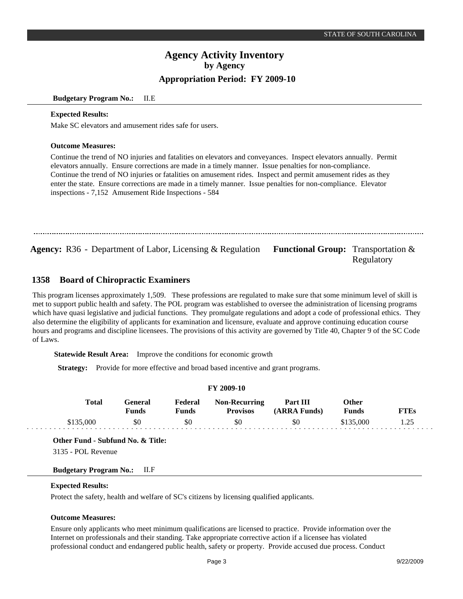**Budgetary Program No.:** II.E

#### **Expected Results:**

Make SC elevators and amusement rides safe for users.

#### **Outcome Measures:**

Continue the trend of NO injuries and fatalities on elevators and conveyances. Inspect elevators annually. Permit elevators annually. Ensure corrections are made in a timely manner. Issue penalties for non-compliance. Continue the trend of NO injuries or fatalities on amusement rides. Inspect and permit amusement rides as they enter the state. Ensure corrections are made in a timely manner. Issue penalties for non-compliance. Elevator inspections - 7,152 Amusement Ride Inspections - 584

Agency: R36 - Department of Labor, Licensing & Regulation Functional Group: Transportation &

Regulatory

#### **Board of Chiropractic Examiners 1358**

This program licenses approximately 1,509. These professions are regulated to make sure that some minimum level of skill is met to support public health and safety. The POL program was established to oversee the administration of licensing programs which have quasi legislative and judicial functions. They promulgate regulations and adopt a code of professional ethics. They also determine the eligibility of applicants for examination and licensure, evaluate and approve continuing education course hours and programs and discipline licensees. The provisions of this activity are governed by Title 40, Chapter 9 of the SC Code of Laws.

**Statewide Result Area:** Improve the conditions for economic growth

**Strategy:** Provide for more effective and broad based incentive and grant programs.

#### **FY 2009-10 General Funds**  \$0 **Other Funds** \$135,000 **Federal Funds**  \$0 **FTEs** 1.25 **Total**  \$135,000 **Non-Recurring Provisos** \$0 **Part III (ARRA Funds)** \$0

**Other Fund - Subfund No. & Title:**

3135 - POL Revenue

## **Budgetary Program No.:** II.F

## **Expected Results:**

Protect the safety, health and welfare of SC's citizens by licensing qualified applicants.

## **Outcome Measures:**

Ensure only applicants who meet minimum qualifications are licensed to practice. Provide information over the Internet on professionals and their standing. Take appropriate corrective action if a licensee has violated professional conduct and endangered public health, safety or property. Provide accused due process. Conduct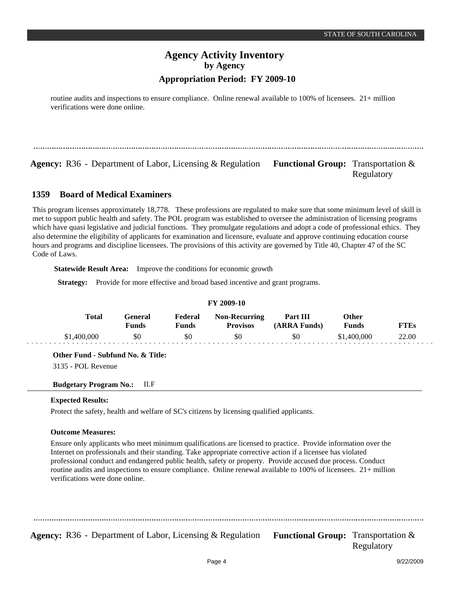routine audits and inspections to ensure compliance. Online renewal available to 100% of licensees. 21+ million verifications were done online.

**Agency:** R36 - Department of Labor, Licensing & Regulation Functional Group: Transportation &

Regulatory

#### **Board of Medical Examiners 1359**

This program licenses approximately 18,778. These professions are regulated to make sure that some minimum level of skill is met to support public health and safety. The POL program was established to oversee the administration of licensing programs which have quasi legislative and judicial functions. They promulgate regulations and adopt a code of professional ethics. They also determine the eligibility of applicants for examination and licensure, evaluate and approve continuing education course hours and programs and discipline licensees. The provisions of this activity are governed by Title 40, Chapter 47 of the SC Code of Laws.

**Statewide Result Area:** Improve the conditions for economic growth

**Strategy:** Provide for more effective and broad based incentive and grant programs.

| FY 2009-10   |                         |                  |                                         |                          |                |             |  |  |  |
|--------------|-------------------------|------------------|-----------------------------------------|--------------------------|----------------|-------------|--|--|--|
| <b>Total</b> | General<br><b>Funds</b> | Federal<br>Funds | <b>Non-Recurring</b><br><b>Provisos</b> | Part III<br>(ARRA Funds) | Other<br>Funds | <b>FTEs</b> |  |  |  |
| \$1,400,000  | \$0                     | \$0              | \$0                                     | \$0                      | \$1,400,000    | 22.00       |  |  |  |

**Other Fund - Subfund No. & Title:**

3135 - POL Revenue

**Budgetary Program No.:** II.F

## **Expected Results:**

Protect the safety, health and welfare of SC's citizens by licensing qualified applicants.

## **Outcome Measures:**

Ensure only applicants who meet minimum qualifications are licensed to practice. Provide information over the Internet on professionals and their standing. Take appropriate corrective action if a licensee has violated professional conduct and endangered public health, safety or property. Provide accused due process. Conduct routine audits and inspections to ensure compliance. Online renewal available to 100% of licensees. 21+ million verifications were done online.

**Agency:** R36 - Department of Labor, Licensing & Regulation Functional Group: Transportation &

Regulatory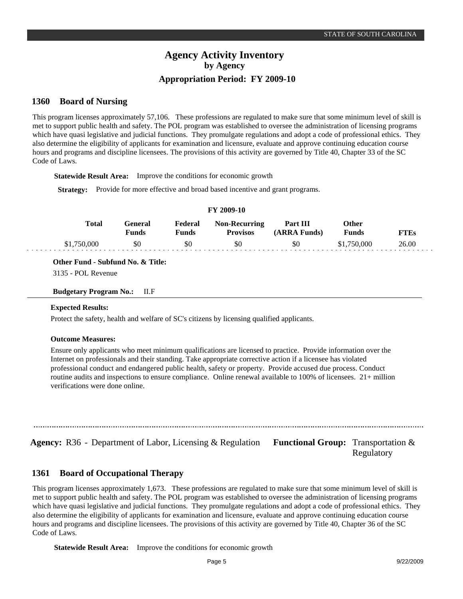#### **Board of Nursing 1360**

This program licenses approximately 57,106. These professions are regulated to make sure that some minimum level of skill is met to support public health and safety. The POL program was established to oversee the administration of licensing programs which have quasi legislative and judicial functions. They promulgate regulations and adopt a code of professional ethics. They also determine the eligibility of applicants for examination and licensure, evaluate and approve continuing education course hours and programs and discipline licensees. The provisions of this activity are governed by Title 40, Chapter 33 of the SC Code of Laws.

**Statewide Result Area:** Improve the conditions for economic growth

**Strategy:** Provide for more effective and broad based incentive and grant programs.

| F 1 2002-10 |              |                  |                  |                                         |                          |                |             |  |  |
|-------------|--------------|------------------|------------------|-----------------------------------------|--------------------------|----------------|-------------|--|--|
|             | <b>Total</b> | General<br>Funds | Federal<br>Funds | <b>Non-Recurring</b><br><b>Provisos</b> | Part III<br>(ARRA Funds) | Other<br>Funds | <b>FTEs</b> |  |  |
|             | \$1,750,000  | \$0              | \$0              | \$0                                     | \$0                      | \$1,750,000    | 26.00       |  |  |

**FY 2009-10**

**Other Fund - Subfund No. & Title:**

3135 - POL Revenue

#### **Budgetary Program No.:** II.F

## **Expected Results:**

Protect the safety, health and welfare of SC's citizens by licensing qualified applicants.

## **Outcome Measures:**

Ensure only applicants who meet minimum qualifications are licensed to practice. Provide information over the Internet on professionals and their standing. Take appropriate corrective action if a licensee has violated professional conduct and endangered public health, safety or property. Provide accused due process. Conduct routine audits and inspections to ensure compliance. Online renewal available to 100% of licensees. 21+ million verifications were done online.

**Agency:** R36 - Department of Labor, Licensing & Regulation Functional Group: Transportation &

Regulatory

#### **Board of Occupational Therapy 1361**

This program licenses approximately 1,673. These professions are regulated to make sure that some minimum level of skill is met to support public health and safety. The POL program was established to oversee the administration of licensing programs which have quasi legislative and judicial functions. They promulgate regulations and adopt a code of professional ethics. They also determine the eligibility of applicants for examination and licensure, evaluate and approve continuing education course hours and programs and discipline licensees. The provisions of this activity are governed by Title 40, Chapter 36 of the SC Code of Laws.

**Statewide Result Area:** Improve the conditions for economic growth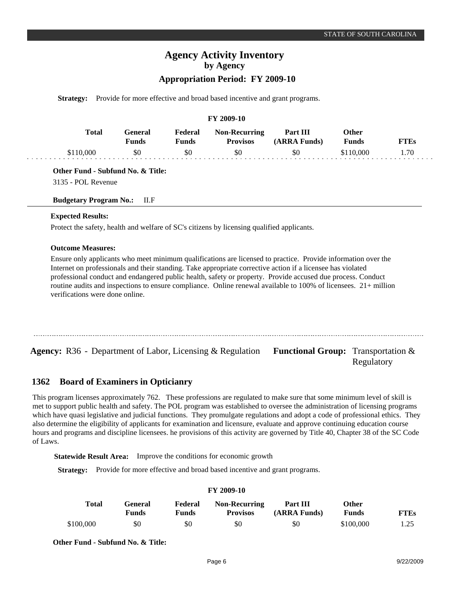# **Agency Activity Inventory by Agency**

# **Appropriation Period: FY 2009-10**

**Strategy:** Provide for more effective and broad based incentive and grant programs.

#### **FY 2009-10**

| Total   | General<br>Funds | Federal<br><b>Funds</b> | <b>Non-Recurring</b><br><b>Provisos</b> | <b>Part III</b><br>(ARRA Funds) | Other<br><b>Funds</b> | <b>FTEs</b> |
|---------|------------------|-------------------------|-----------------------------------------|---------------------------------|-----------------------|-------------|
| LIO 000 | \$0              | \$0                     | \$0                                     | \$0                             | \$110.000             | 1.70        |

**Other Fund - Subfund No. & Title:**

3135 - POL Revenue

**Budgetary Program No.:** II.F

#### **Expected Results:**

Protect the safety, health and welfare of SC's citizens by licensing qualified applicants.

#### **Outcome Measures:**

Ensure only applicants who meet minimum qualifications are licensed to practice. Provide information over the Internet on professionals and their standing. Take appropriate corrective action if a licensee has violated professional conduct and endangered public health, safety or property. Provide accused due process. Conduct routine audits and inspections to ensure compliance. Online renewal available to 100% of licensees. 21+ million verifications were done online.

**Agency:** R36 - Department of Labor, Licensing & Regulation Functional Group: Transportation &

#### **Board of Examiners in Opticianry 1362**

This program licenses approximately 762. These professions are regulated to make sure that some minimum level of skill is met to support public health and safety. The POL program was established to oversee the administration of licensing programs which have quasi legislative and judicial functions. They promulgate regulations and adopt a code of professional ethics. They also determine the eligibility of applicants for examination and licensure, evaluate and approve continuing education course hours and programs and discipline licensees. he provisions of this activity are governed by Title 40, Chapter 38 of the SC Code of Laws.

**Statewide Result Area:** Improve the conditions for economic growth

**Strategy:** Provide for more effective and broad based incentive and grant programs.

#### **FY 2009-10 General Funds**  \$0 **Other Funds** \$100,000 **Federal Funds**  \$0 **FTEs** 1.25 **Total**  \$100,000 **Non-Recurring Provisos** \$0 **Part III (ARRA Funds)** \$0

**Other Fund - Subfund No. & Title:**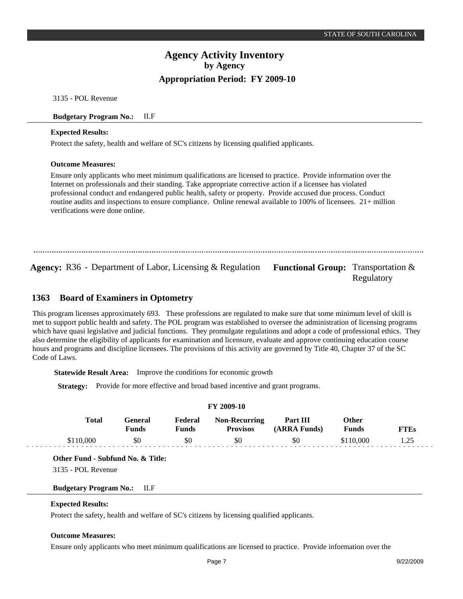3135 - POL Revenue

#### **Budgetary Program No.:** II.F

#### **Expected Results:**

Protect the safety, health and welfare of SC's citizens by licensing qualified applicants.

#### **Outcome Measures:**

Ensure only applicants who meet minimum qualifications are licensed to practice. Provide information over the Internet on professionals and their standing. Take appropriate corrective action if a licensee has violated professional conduct and endangered public health, safety or property. Provide accused due process. Conduct routine audits and inspections to ensure compliance. Online renewal available to 100% of licensees. 21+ million verifications were done online.

**Agency:** R36 - Department of Labor, Licensing & Regulation Functional Group: Transportation &

Regulatory

#### **Board of Examiners in Optometry 1363**

This program licenses approximately 693. These professions are regulated to make sure that some minimum level of skill is met to support public health and safety. The POL program was established to oversee the administration of licensing programs which have quasi legislative and judicial functions. They promulgate regulations and adopt a code of professional ethics. They also determine the eligibility of applicants for examination and licensure, evaluate and approve continuing education course hours and programs and discipline licensees. The provisions of this activity are governed by Title 40, Chapter 37 of the SC Code of Laws.

**Statewide Result Area:** Improve the conditions for economic growth

**Strategy:** Provide for more effective and broad based incentive and grant programs.

| <b>FY 2009-10</b> |           |                  |                         |                                         |                          |                       |             |  |  |
|-------------------|-----------|------------------|-------------------------|-----------------------------------------|--------------------------|-----------------------|-------------|--|--|
|                   | Total     | General<br>Funds | Federal<br><b>Funds</b> | <b>Non-Recurring</b><br><b>Provisos</b> | Part III<br>(ARRA Funds) | Other<br><b>Funds</b> | <b>FTEs</b> |  |  |
|                   | \$110,000 | \$0              | \$0                     | \$0                                     | \$0                      | \$110,000             | 1.25        |  |  |

**Other Fund - Subfund No. & Title:**

3135 - POL Revenue

**Budgetary Program No.:** II.F

#### **Expected Results:**

Protect the safety, health and welfare of SC's citizens by licensing qualified applicants.

## **Outcome Measures:**

Ensure only applicants who meet minimum qualifications are licensed to practice. Provide information over the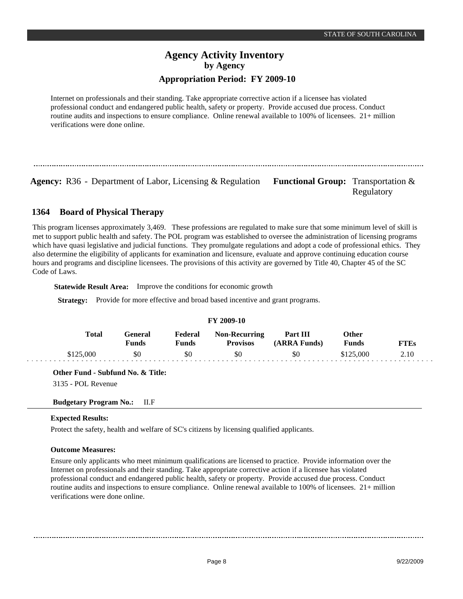# **Appropriation Period: FY 2009-10**

Internet on professionals and their standing. Take appropriate corrective action if a licensee has violated professional conduct and endangered public health, safety or property. Provide accused due process. Conduct routine audits and inspections to ensure compliance. Online renewal available to 100% of licensees. 21+ million verifications were done online.

**Agency:** R36 - Department of Labor, Licensing & Regulation Functional Group: Transportation &

Regulatory

#### **Board of Physical Therapy 1364**

This program licenses approximately 3,469. These professions are regulated to make sure that some minimum level of skill is met to support public health and safety. The POL program was established to oversee the administration of licensing programs which have quasi legislative and judicial functions. They promulgate regulations and adopt a code of professional ethics. They also determine the eligibility of applicants for examination and licensure, evaluate and approve continuing education course hours and programs and discipline licensees. The provisions of this activity are governed by Title 40, Chapter 45 of the SC Code of Laws.

**Statewide Result Area:** Improve the conditions for economic growth

**Strategy:** Provide for more effective and broad based incentive and grant programs.

| FY 2009-10 |           |                  |                  |                                         |                          |                |             |  |  |  |
|------------|-----------|------------------|------------------|-----------------------------------------|--------------------------|----------------|-------------|--|--|--|
|            | Total     | General<br>Funds | Federal<br>Funds | <b>Non-Recurring</b><br><b>Provisos</b> | Part III<br>(ARRA Funds) | Other<br>Funds | <b>FTEs</b> |  |  |  |
|            | \$125,000 | \$0              | \$0              | \$0                                     | \$0                      | \$125,000      | 2.10        |  |  |  |

**FY 2009-10**

**Other Fund - Subfund No. & Title:**

3135 - POL Revenue

## **Budgetary Program No.:** II.F

## **Expected Results:**

Protect the safety, health and welfare of SC's citizens by licensing qualified applicants.

## **Outcome Measures:**

Ensure only applicants who meet minimum qualifications are licensed to practice. Provide information over the Internet on professionals and their standing. Take appropriate corrective action if a licensee has violated professional conduct and endangered public health, safety or property. Provide accused due process. Conduct routine audits and inspections to ensure compliance. Online renewal available to 100% of licensees. 21+ million verifications were done online.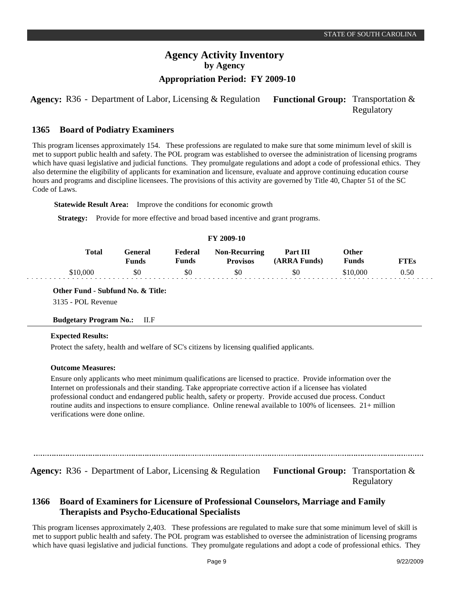**Agency:** R36 - Department of Labor, Licensing & Regulation Functional Group: Transportation & Regulatory

#### **Board of Podiatry Examiners 1365**

This program licenses approximately 154. These professions are regulated to make sure that some minimum level of skill is met to support public health and safety. The POL program was established to oversee the administration of licensing programs which have quasi legislative and judicial functions. They promulgate regulations and adopt a code of professional ethics. They also determine the eligibility of applicants for examination and licensure, evaluate and approve continuing education course hours and programs and discipline licensees. The provisions of this activity are governed by Title 40, Chapter 51 of the SC Code of Laws.

**Statewide Result Area:** Improve the conditions for economic growth

**Strategy:** Provide for more effective and broad based incentive and grant programs.

## **FY 2009-10**

| <b>Total</b> | General<br>Funds | Federal<br>Funds | <b>Non-Recurring</b><br><b>Provisos</b> | Part III<br>(ARRA Funds) | Other<br>Funds | <b>FTEs</b> |
|--------------|------------------|------------------|-----------------------------------------|--------------------------|----------------|-------------|
| \$10,000     | \$0              | \$0              | \$0                                     | \$0                      | \$10,000       | 0.50        |

**Other Fund - Subfund No. & Title:** 3135 - POL Revenue

## **Budgetary Program No.:** II.F

#### **Expected Results:**

Protect the safety, health and welfare of SC's citizens by licensing qualified applicants.

#### **Outcome Measures:**

Ensure only applicants who meet minimum qualifications are licensed to practice. Provide information over the Internet on professionals and their standing. Take appropriate corrective action if a licensee has violated professional conduct and endangered public health, safety or property. Provide accused due process. Conduct routine audits and inspections to ensure compliance. Online renewal available to 100% of licensees. 21+ million verifications were done online.

**Agency:** R36 - Department of Labor, Licensing & Regulation Functional Group: Transportation & Regulatory

#### **Board of Examiners for Licensure of Professional Counselors, Marriage and Family Therapists and Psycho-Educational Specialists 1366**

This program licenses approximately 2,403. These professions are regulated to make sure that some minimum level of skill is met to support public health and safety. The POL program was established to oversee the administration of licensing programs which have quasi legislative and judicial functions. They promulgate regulations and adopt a code of professional ethics. They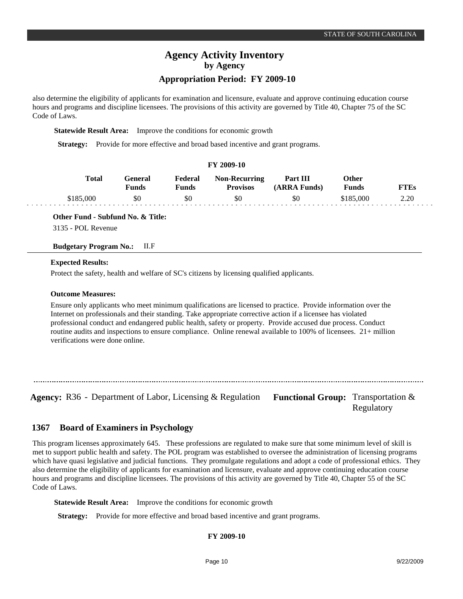## **Appropriation Period: FY 2009-10**

also determine the eligibility of applicants for examination and licensure, evaluate and approve continuing education course hours and programs and discipline licensees. The provisions of this activity are governed by Title 40, Chapter 75 of the SC Code of Laws.

**Statewide Result Area:** Improve the conditions for economic growth

**Strategy:** Provide for more effective and broad based incentive and grant programs.

| FY 2009-10 |                  |                         |                                         |                          |                       |             |  |  |
|------------|------------------|-------------------------|-----------------------------------------|--------------------------|-----------------------|-------------|--|--|
| Total      | General<br>Funds | Federal<br><b>Funds</b> | <b>Non-Recurring</b><br><b>Provisos</b> | Part III<br>(ARRA Funds) | Other<br><b>Funds</b> | <b>FTEs</b> |  |  |
| \$185,000  | \$0              | \$0                     | \$0                                     | \$0                      | \$185,000             | 2.20        |  |  |

**Other Fund - Subfund No. & Title:**

3135 - POL Revenue

## **Budgetary Program No.:** II.F

#### **Expected Results:**

Protect the safety, health and welfare of SC's citizens by licensing qualified applicants.

#### **Outcome Measures:**

Ensure only applicants who meet minimum qualifications are licensed to practice. Provide information over the Internet on professionals and their standing. Take appropriate corrective action if a licensee has violated professional conduct and endangered public health, safety or property. Provide accused due process. Conduct routine audits and inspections to ensure compliance. Online renewal available to 100% of licensees. 21+ million verifications were done online.

Agency: R36 - Department of Labor, Licensing & Regulation Functional Group: Transportation &

Regulatory

#### **Board of Examiners in Psychology 1367**

This program licenses approximately 645. These professions are regulated to make sure that some minimum level of skill is met to support public health and safety. The POL program was established to oversee the administration of licensing programs which have quasi legislative and judicial functions. They promulgate regulations and adopt a code of professional ethics. They also determine the eligibility of applicants for examination and licensure, evaluate and approve continuing education course hours and programs and discipline licensees. The provisions of this activity are governed by Title 40, Chapter 55 of the SC Code of Laws.

**Statewide Result Area:** Improve the conditions for economic growth

**Strategy:** Provide for more effective and broad based incentive and grant programs.

## **FY 2009-10**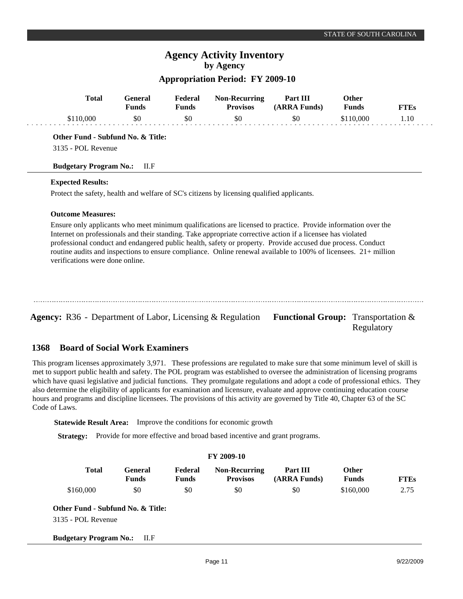# **Appropriation Period: FY 2009-10**

| <b>Total</b>                      | General<br><b>Funds</b> | Federal<br><b>Funds</b> | <b>Non-Recurring</b><br><b>Provisos</b>                                                    | Part III<br>(ARRA Funds) | <b>Other</b><br><b>Funds</b> | <b>FTEs</b> |
|-----------------------------------|-------------------------|-------------------------|--------------------------------------------------------------------------------------------|--------------------------|------------------------------|-------------|
| \$110,000                         | \$0                     | \$0                     | \$0                                                                                        | \$0                      | \$110,000                    | 1.10        |
| Other Fund - Subfund No. & Title: |                         |                         |                                                                                            |                          |                              |             |
| 3135 - POL Revenue                |                         |                         |                                                                                            |                          |                              |             |
|                                   | ILF                     |                         |                                                                                            |                          |                              |             |
| <b>Budgetary Program No.:</b>     |                         |                         |                                                                                            |                          |                              |             |
|                                   |                         |                         |                                                                                            |                          |                              |             |
| <b>Expected Results:</b>          |                         |                         | Protect the safety, health and welfare of SC's citizens by licensing qualified applicants. |                          |                              |             |
| <b>Outcome Measures:</b>          |                         |                         |                                                                                            |                          |                              |             |

Agency: R36 - Department of Labor, Licensing & Regulation Functional Group: Transportation & Regulatory

#### **Board of Social Work Examiners 1368**

This program licenses approximately 3,971. These professions are regulated to make sure that some minimum level of skill is met to support public health and safety. The POL program was established to oversee the administration of licensing programs which have quasi legislative and judicial functions. They promulgate regulations and adopt a code of professional ethics. They also determine the eligibility of applicants for examination and licensure, evaluate and approve continuing education course hours and programs and discipline licensees. The provisions of this activity are governed by Title 40, Chapter 63 of the SC Code of Laws.

**Statewide Result Area:** Improve the conditions for economic growth

**Strategy:** Provide for more effective and broad based incentive and grant programs.

|                                   |                         |                         | <b>FY 2009-10</b>                       |                          |                              |             |
|-----------------------------------|-------------------------|-------------------------|-----------------------------------------|--------------------------|------------------------------|-------------|
| <b>Total</b>                      | General<br><b>Funds</b> | Federal<br><b>Funds</b> | <b>Non-Recurring</b><br><b>Provisos</b> | Part III<br>(ARRA Funds) | <b>Other</b><br><b>Funds</b> | <b>FTEs</b> |
| \$160,000                         | \$0                     | \$0                     | \$0                                     | \$0                      | \$160,000                    | 2.75        |
| Other Fund - Subfund No. & Title: |                         |                         |                                         |                          |                              |             |
| 3135 - POL Revenue                |                         |                         |                                         |                          |                              |             |
| <b>Budgetary Program No.:</b>     | -II.F                   |                         |                                         |                          |                              |             |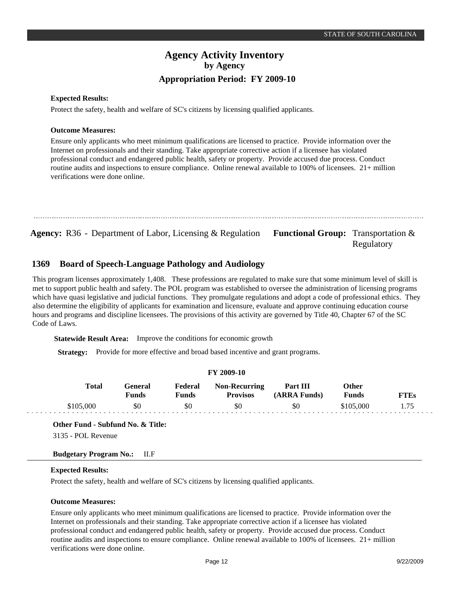# **Agency Activity Inventory by Agency Appropriation Period: FY 2009-10**

#### **Expected Results:**

Protect the safety, health and welfare of SC's citizens by licensing qualified applicants.

#### **Outcome Measures:**

Ensure only applicants who meet minimum qualifications are licensed to practice. Provide information over the Internet on professionals and their standing. Take appropriate corrective action if a licensee has violated professional conduct and endangered public health, safety or property. Provide accused due process. Conduct routine audits and inspections to ensure compliance. Online renewal available to 100% of licensees. 21+ million verifications were done online.

```
Agency: R36 - Department of Labor, Licensing & Regulation Functional Group: Transportation &
```
#### **Board of Speech-Language Pathology and Audiology 1369**

This program licenses approximately 1,408. These professions are regulated to make sure that some minimum level of skill is met to support public health and safety. The POL program was established to oversee the administration of licensing programs which have quasi legislative and judicial functions. They promulgate regulations and adopt a code of professional ethics. They also determine the eligibility of applicants for examination and licensure, evaluate and approve continuing education course hours and programs and discipline licensees. The provisions of this activity are governed by Title 40, Chapter 67 of the SC Code of Laws.

**Statewide Result Area:** Improve the conditions for economic growth

**Strategy:** Provide for more effective and broad based incentive and grant programs.

| FY 2009-10 |                         |                  |                                         |                          |                              |             |  |  |  |  |
|------------|-------------------------|------------------|-----------------------------------------|--------------------------|------------------------------|-------------|--|--|--|--|
| Total      | General<br><b>Funds</b> | Federal<br>Funds | <b>Non-Recurring</b><br><b>Provisos</b> | Part III<br>(ARRA Funds) | <b>Other</b><br><b>Funds</b> | <b>FTEs</b> |  |  |  |  |
| \$105,000  | \$0                     | \$0              | \$0                                     | \$0                      | \$105,000                    |             |  |  |  |  |

#### **Other Fund - Subfund No. & Title:**

3135 - POL Revenue

## **Budgetary Program No.:** II.F

#### **Expected Results:**

Protect the safety, health and welfare of SC's citizens by licensing qualified applicants.

## **Outcome Measures:**

Ensure only applicants who meet minimum qualifications are licensed to practice. Provide information over the Internet on professionals and their standing. Take appropriate corrective action if a licensee has violated professional conduct and endangered public health, safety or property. Provide accused due process. Conduct routine audits and inspections to ensure compliance. Online renewal available to 100% of licensees. 21+ million verifications were done online.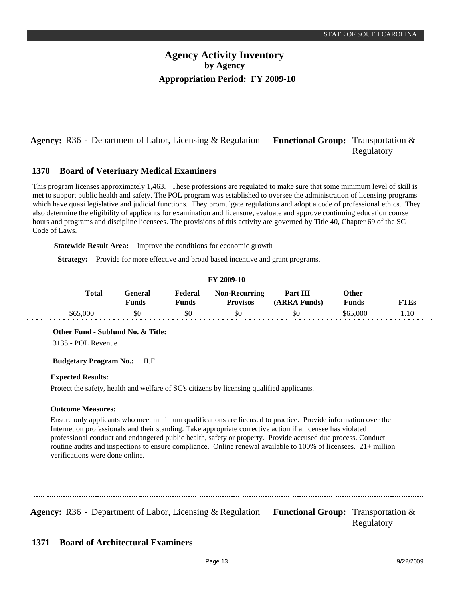**Agency:** R36 - Department of Labor, Licensing & Regulation **Functional Group:** Transportation &

Regulatory

#### **Board of Veterinary Medical Examiners 1370**

This program licenses approximately 1,463. These professions are regulated to make sure that some minimum level of skill is met to support public health and safety. The POL program was established to oversee the administration of licensing programs which have quasi legislative and judicial functions. They promulgate regulations and adopt a code of professional ethics. They also determine the eligibility of applicants for examination and licensure, evaluate and approve continuing education course hours and programs and discipline licensees. The provisions of this activity are governed by Title 40, Chapter 69 of the SC Code of Laws.

**Statewide Result Area:** Improve the conditions for economic growth

**Strategy:** Provide for more effective and broad based incentive and grant programs.

|          | <b>FY 2009-10</b> |                  |                  |                                         |                          |                              |             |  |  |
|----------|-------------------|------------------|------------------|-----------------------------------------|--------------------------|------------------------------|-------------|--|--|
|          | <b>Total</b>      | General<br>Funds | Federal<br>Funds | <b>Non-Recurring</b><br><b>Provisos</b> | Part III<br>(ARRA Funds) | <b>Other</b><br><b>Funds</b> | <b>FTEs</b> |  |  |
| \$65,000 |                   | \$0              | \$0              | \$0                                     | \$0                      | \$65,000                     | 1.10        |  |  |

**Other Fund - Subfund No. & Title:**

3135 - POL Revenue

**Budgetary Program No.:** II.F

#### **Expected Results:**

Protect the safety, health and welfare of SC's citizens by licensing qualified applicants.

## **Outcome Measures:**

Ensure only applicants who meet minimum qualifications are licensed to practice. Provide information over the Internet on professionals and their standing. Take appropriate corrective action if a licensee has violated professional conduct and endangered public health, safety or property. Provide accused due process. Conduct routine audits and inspections to ensure compliance. Online renewal available to 100% of licensees. 21+ million verifications were done online.

**Agency:** R36 - Department of Labor, Licensing & Regulation Functional Group: Transportation &

Regulatory

#### **Board of Architectural Examiners 1371**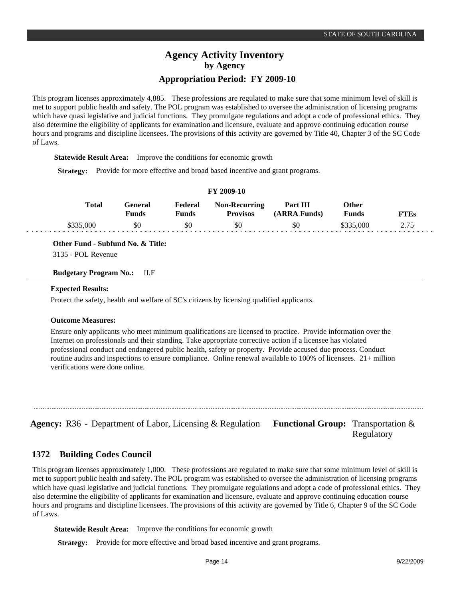This program licenses approximately 4,885. These professions are regulated to make sure that some minimum level of skill is met to support public health and safety. The POL program was established to oversee the administration of licensing programs which have quasi legislative and judicial functions. They promulgate regulations and adopt a code of professional ethics. They also determine the eligibility of applicants for examination and licensure, evaluate and approve continuing education course hours and programs and discipline licensees. The provisions of this activity are governed by Title 40, Chapter 3 of the SC Code of Laws.

**Statewide Result Area:** Improve the conditions for economic growth

**Strategy:** Provide for more effective and broad based incentive and grant programs.

| F I 2009-10  |                  |                  |                                         |                          |                |             |  |  |  |
|--------------|------------------|------------------|-----------------------------------------|--------------------------|----------------|-------------|--|--|--|
| <b>Total</b> | General<br>Funds | Federal<br>Funds | <b>Non-Recurring</b><br><b>Provisos</b> | Part III<br>(ARRA Funds) | Other<br>Funds | <b>FTEs</b> |  |  |  |
| \$335,000    | \$0              | \$0              | \$0                                     | \$0                      | \$335,000      | 2.75        |  |  |  |

**FY 2009-10**

**Other Fund - Subfund No. & Title:**

3135 - POL Revenue

**Budgetary Program No.:** II.F

#### **Expected Results:**

Protect the safety, health and welfare of SC's citizens by licensing qualified applicants.

#### **Outcome Measures:**

Ensure only applicants who meet minimum qualifications are licensed to practice. Provide information over the Internet on professionals and their standing. Take appropriate corrective action if a licensee has violated professional conduct and endangered public health, safety or property. Provide accused due process. Conduct routine audits and inspections to ensure compliance. Online renewal available to 100% of licensees. 21+ million verifications were done online.

**Agency:** R36 - Department of Labor, Licensing & Regulation Functional Group: Transportation &

Regulatory

#### **Building Codes Council 1372**

This program licenses approximately 1,000. These professions are regulated to make sure that some minimum level of skill is met to support public health and safety. The POL program was established to oversee the administration of licensing programs which have quasi legislative and judicial functions. They promulgate regulations and adopt a code of professional ethics. They also determine the eligibility of applicants for examination and licensure, evaluate and approve continuing education course hours and programs and discipline licensees. The provisions of this activity are governed by Title 6, Chapter 9 of the SC Code of Laws.

**Statewide Result Area:** Improve the conditions for economic growth

**Strategy:** Provide for more effective and broad based incentive and grant programs.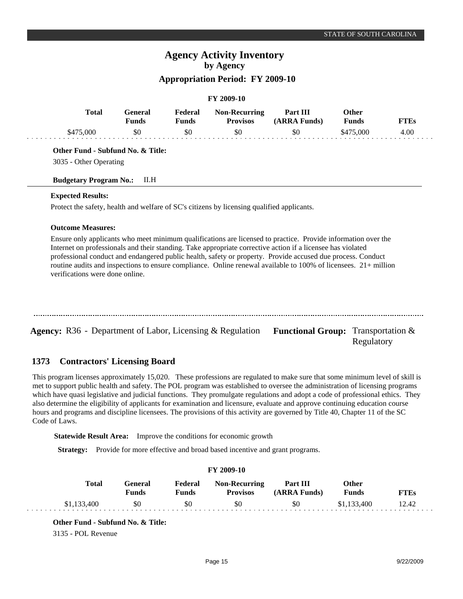# **Agency Activity Inventory by Agency**

# **Appropriation Period: FY 2009-10**

#### **FY 2009-10**

|           | Total<br>General<br><b>Funds</b> | Federal<br><b>Funds</b> | <b>Non-Recurring</b><br><b>Provisos</b> | Part III<br>(ARRA Funds) | Other<br><b>Funds</b> | TTEs |
|-----------|----------------------------------|-------------------------|-----------------------------------------|--------------------------|-----------------------|------|
| \$475,000 | \$0                              | \$0                     | \$0                                     | \$0                      | \$475,000             | 4.00 |

**Other Fund - Subfund No. & Title:**

3035 - Other Operating

#### **Budgetary Program No.:** II.H

#### **Expected Results:**

Protect the safety, health and welfare of SC's citizens by licensing qualified applicants.

#### **Outcome Measures:**

Ensure only applicants who meet minimum qualifications are licensed to practice. Provide information over the Internet on professionals and their standing. Take appropriate corrective action if a licensee has violated professional conduct and endangered public health, safety or property. Provide accused due process. Conduct routine audits and inspections to ensure compliance. Online renewal available to 100% of licensees. 21+ million verifications were done online.

Agency: R36 - Department of Labor, Licensing & Regulation Functional Group: Transportation &

#### **Contractors' Licensing Board 1373**

This program licenses approximately 15,020. These professions are regulated to make sure that some minimum level of skill is met to support public health and safety. The POL program was established to oversee the administration of licensing programs which have quasi legislative and judicial functions. They promulgate regulations and adopt a code of professional ethics. They also determine the eligibility of applicants for examination and licensure, evaluate and approve continuing education course hours and programs and discipline licensees. The provisions of this activity are governed by Title 40, Chapter 11 of the SC Code of Laws.

**Statewide Result Area:** Improve the conditions for economic growth

**Strategy:** Provide for more effective and broad based incentive and grant programs.

| <b>FY 2009-10</b> |                  |                         |                                         |                          |                       |             |  |  |
|-------------------|------------------|-------------------------|-----------------------------------------|--------------------------|-----------------------|-------------|--|--|
| Total             | General<br>Funds | Federal<br><b>Funds</b> | <b>Non-Recurring</b><br><b>Provisos</b> | Part III<br>(ARRA Funds) | Other<br><b>Funds</b> | <b>FTEs</b> |  |  |
| \$1,133,400       | \$0              | \$0                     | \$0                                     | \$0                      | \$1,133,400           | 12.42       |  |  |

**Other Fund - Subfund No. & Title:**

3135 - POL Revenue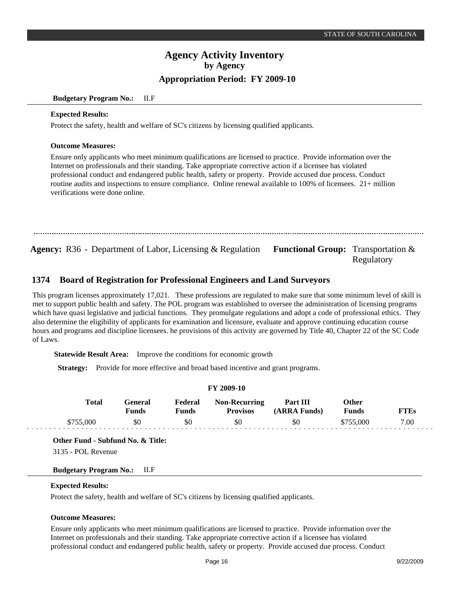#### **Budgetary Program No.:** II.F

#### **Expected Results:**

Protect the safety, health and welfare of SC's citizens by licensing qualified applicants.

#### **Outcome Measures:**

Ensure only applicants who meet minimum qualifications are licensed to practice. Provide information over the Internet on professionals and their standing. Take appropriate corrective action if a licensee has violated professional conduct and endangered public health, safety or property. Provide accused due process. Conduct routine audits and inspections to ensure compliance. Online renewal available to 100% of licensees. 21+ million verifications were done online.

Agency: R36 - Department of Labor, Licensing & Regulation Functional Group: Transportation & Regulatory

#### **Board of Registration for Professional Engineers and Land Surveyors 1374**

This program licenses approximately 17,021. These professions are regulated to make sure that some minimum level of skill is met to support public health and safety. The POL program was established to oversee the administration of licensing programs which have quasi legislative and judicial functions. They promulgate regulations and adopt a code of professional ethics. They also determine the eligibility of applicants for examination and licensure, evaluate and approve continuing education course hours and programs and discipline licensees. he provisions of this activity are governed by Title 40, Chapter 22 of the SC Code of Laws.

**Statewide Result Area:** Improve the conditions for economic growth

**Strategy:** Provide for more effective and broad based incentive and grant programs.

#### **FY 2009-10**

| Total     | General<br>Funds | Federal<br>Funds | <b>Non-Recurring</b><br><b>Provisos</b> | <b>Part III</b><br>(ARRA Funds) | Other<br><b>Funds</b> | <b>FTEs</b> |
|-----------|------------------|------------------|-----------------------------------------|---------------------------------|-----------------------|-------------|
| \$755,000 | \$0              | \$0              | \$0                                     | SO.                             | \$755,000             | 7.00        |

**Other Fund - Subfund No. & Title:**

3135 - POL Revenue

## **Budgetary Program No.:** II.F

## **Expected Results:**

Protect the safety, health and welfare of SC's citizens by licensing qualified applicants.

## **Outcome Measures:**

Ensure only applicants who meet minimum qualifications are licensed to practice. Provide information over the Internet on professionals and their standing. Take appropriate corrective action if a licensee has violated professional conduct and endangered public health, safety or property. Provide accused due process. Conduct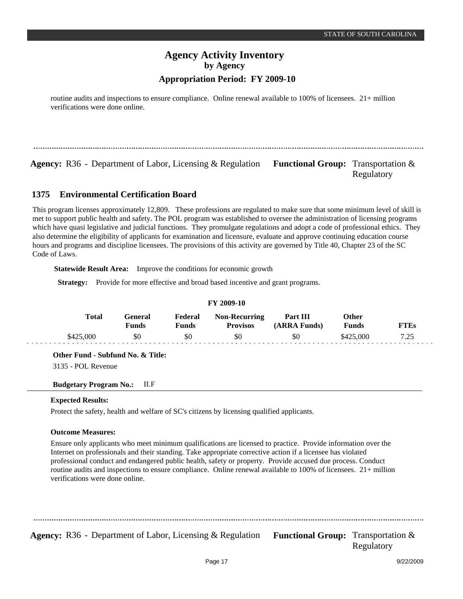routine audits and inspections to ensure compliance. Online renewal available to 100% of licensees. 21+ million verifications were done online.

**Agency:** R36 - Department of Labor, Licensing & Regulation Functional Group: Transportation &

Regulatory

#### **Environmental Certification Board 1375**

This program licenses approximately 12,809. These professions are regulated to make sure that some minimum level of skill is met to support public health and safety. The POL program was established to oversee the administration of licensing programs which have quasi legislative and judicial functions. They promulgate regulations and adopt a code of professional ethics. They also determine the eligibility of applicants for examination and licensure, evaluate and approve continuing education course hours and programs and discipline licensees. The provisions of this activity are governed by Title 40, Chapter 23 of the SC Code of Laws.

**Statewide Result Area:** Improve the conditions for economic growth

**Strategy:** Provide for more effective and broad based incentive and grant programs.

| <b>Total</b> | General<br>Funds | Federal<br>Funds | <b>Non-Recurring</b><br><b>Provisos</b> | Part III<br>(ARRA Funds) | Other<br>Funds | <b>FTEs</b> |  |
|--------------|------------------|------------------|-----------------------------------------|--------------------------|----------------|-------------|--|
| \$425,000    | \$0              | \$0              | \$0                                     | \$0                      | \$425,000      | 7.25        |  |

**Other Fund - Subfund No. & Title:**

3135 - POL Revenue

**Budgetary Program No.:** II.F

## **Expected Results:**

Protect the safety, health and welfare of SC's citizens by licensing qualified applicants.

## **Outcome Measures:**

Ensure only applicants who meet minimum qualifications are licensed to practice. Provide information over the Internet on professionals and their standing. Take appropriate corrective action if a licensee has violated professional conduct and endangered public health, safety or property. Provide accused due process. Conduct routine audits and inspections to ensure compliance. Online renewal available to 100% of licensees. 21+ million verifications were done online.

**Agency:** R36 - Department of Labor, Licensing & Regulation Functional Group: Transportation &

Regulatory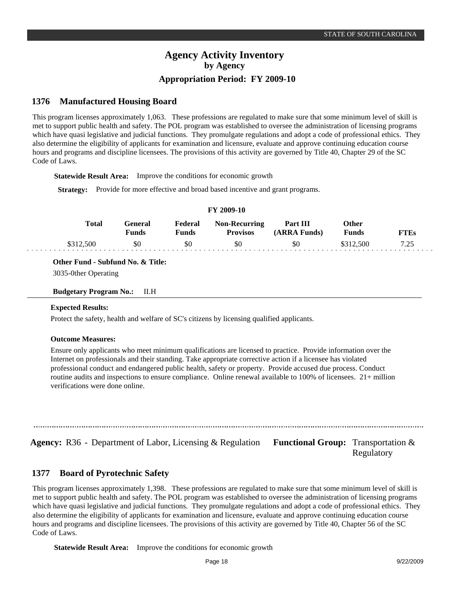#### **Manufactured Housing Board 1376**

This program licenses approximately 1,063. These professions are regulated to make sure that some minimum level of skill is met to support public health and safety. The POL program was established to oversee the administration of licensing programs which have quasi legislative and judicial functions. They promulgate regulations and adopt a code of professional ethics. They also determine the eligibility of applicants for examination and licensure, evaluate and approve continuing education course hours and programs and discipline licensees. The provisions of this activity are governed by Title 40, Chapter 29 of the SC Code of Laws.

**Statewide Result Area:** Improve the conditions for economic growth

**Strategy:** Provide for more effective and broad based incentive and grant programs.

| I 1 2007-10 |                  |                  |                                         |                          |                       |             |  |  |
|-------------|------------------|------------------|-----------------------------------------|--------------------------|-----------------------|-------------|--|--|
| Total       | General<br>Funds | Federal<br>Funds | <b>Non-Recurring</b><br><b>Provisos</b> | Part III<br>(ARRA Funds) | Other<br><b>Funds</b> | <b>FTEs</b> |  |  |
| \$312,500   | \$0              | \$0              | \$0                                     | \$0                      | \$312,500             | フ つち        |  |  |

**FY 2009-10**

**Other Fund - Subfund No. & Title:**

3035-0ther Operating

#### **Budgetary Program No.:** II.H

## **Expected Results:**

Protect the safety, health and welfare of SC's citizens by licensing qualified applicants.

## **Outcome Measures:**

Ensure only applicants who meet minimum qualifications are licensed to practice. Provide information over the Internet on professionals and their standing. Take appropriate corrective action if a licensee has violated professional conduct and endangered public health, safety or property. Provide accused due process. Conduct routine audits and inspections to ensure compliance. Online renewal available to 100% of licensees. 21+ million verifications were done online.

**Agency:** R36 - Department of Labor, Licensing & Regulation Functional Group: Transportation &

Regulatory

#### **Board of Pyrotechnic Safety 1377**

This program licenses approximately 1,398. These professions are regulated to make sure that some minimum level of skill is met to support public health and safety. The POL program was established to oversee the administration of licensing programs which have quasi legislative and judicial functions. They promulgate regulations and adopt a code of professional ethics. They also determine the eligibility of applicants for examination and licensure, evaluate and approve continuing education course hours and programs and discipline licensees. The provisions of this activity are governed by Title 40, Chapter 56 of the SC Code of Laws.

**Statewide Result Area:** Improve the conditions for economic growth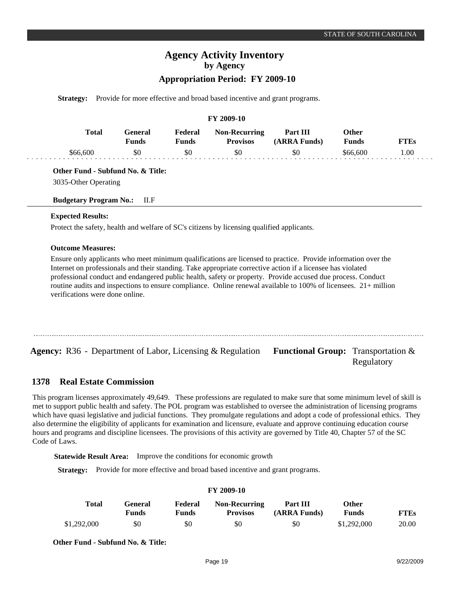# **Agency Activity Inventory by Agency**

# **Appropriation Period: FY 2009-10**

**Strategy:** Provide for more effective and broad based incentive and grant programs.

#### **FY 2009-10**

| Total   | General)<br><b>Tunds</b> | Federal | <b>Non-Recurring</b><br><b>Provisos</b> | Part III<br>(ARRA Funds) | <b>Other</b><br><b>Funds</b> | FTEs |
|---------|--------------------------|---------|-----------------------------------------|--------------------------|------------------------------|------|
| S66 600 | \$0                      | \$0     | \$0                                     | \$0                      | \$66,600                     | .00  |

**Other Fund - Subfund No. & Title:**

3035-Other Operating

#### **Budgetary Program No.:** II.F

#### **Expected Results:**

Protect the safety, health and welfare of SC's citizens by licensing qualified applicants.

#### **Outcome Measures:**

Ensure only applicants who meet minimum qualifications are licensed to practice. Provide information over the Internet on professionals and their standing. Take appropriate corrective action if a licensee has violated professional conduct and endangered public health, safety or property. Provide accused due process. Conduct routine audits and inspections to ensure compliance. Online renewal available to 100% of licensees. 21+ million verifications were done online.

**Agency:** R36 - Department of Labor, Licensing & Regulation Functional Group: Transportation &

#### **Real Estate Commission 1378**

This program licenses approximately 49,649. These professions are regulated to make sure that some minimum level of skill is met to support public health and safety. The POL program was established to oversee the administration of licensing programs which have quasi legislative and judicial functions. They promulgate regulations and adopt a code of professional ethics. They also determine the eligibility of applicants for examination and licensure, evaluate and approve continuing education course hours and programs and discipline licensees. The provisions of this activity are governed by Title 40, Chapter 57 of the SC Code of Laws.

**Statewide Result Area:** Improve the conditions for economic growth

**Strategy:** Provide for more effective and broad based incentive and grant programs.

#### **FY 2009-10 General Funds**  \$0 **Other Funds** \$1,292,000 **Federal Funds**  \$0 **FTEs** 20.00 **Total**  \$1,292,000 **Non-Recurring Provisos** \$0 **Part III (ARRA Funds)** \$0

**Other Fund - Subfund No. & Title:**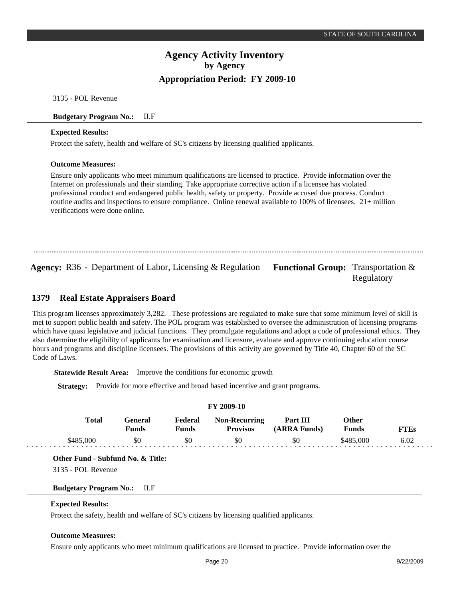3135 - POL Revenue

#### **Budgetary Program No.:** II.F

#### **Expected Results:**

Protect the safety, health and welfare of SC's citizens by licensing qualified applicants.

#### **Outcome Measures:**

Ensure only applicants who meet minimum qualifications are licensed to practice. Provide information over the Internet on professionals and their standing. Take appropriate corrective action if a licensee has violated professional conduct and endangered public health, safety or property. Provide accused due process. Conduct routine audits and inspections to ensure compliance. Online renewal available to 100% of licensees. 21+ million verifications were done online.

**Agency:** R36 - Department of Labor, Licensing & Regulation Functional Group: Transportation & Regulatory

#### **Real Estate Appraisers Board 1379**

This program licenses approximately 3,282. These professions are regulated to make sure that some minimum level of skill is met to support public health and safety. The POL program was established to oversee the administration of licensing programs which have quasi legislative and judicial functions. They promulgate regulations and adopt a code of professional ethics. They also determine the eligibility of applicants for examination and licensure, evaluate and approve continuing education course hours and programs and discipline licensees. The provisions of this activity are governed by Title 40, Chapter 60 of the SC Code of Laws.

**Statewide Result Area:** Improve the conditions for economic growth

**Strategy:** Provide for more effective and broad based incentive and grant programs.

| <b>FY 2009-10</b> |                         |                  |                                         |                          |                |      |  |  |
|-------------------|-------------------------|------------------|-----------------------------------------|--------------------------|----------------|------|--|--|
| <b>Total</b>      | General<br><b>Funds</b> | Federal<br>Funds | <b>Non-Recurring</b><br><b>Provisos</b> | Part III<br>(ARRA Funds) | Other<br>Funds | FTEs |  |  |
| \$485,000         | \$0                     | \$0              | \$0                                     | \$0                      | \$485,000      | 6.02 |  |  |

**Other Fund - Subfund No. & Title:**

3135 - POL Revenue

**Budgetary Program No.:** II.F

#### **Expected Results:**

Protect the safety, health and welfare of SC's citizens by licensing qualified applicants.

## **Outcome Measures:**

Ensure only applicants who meet minimum qualifications are licensed to practice. Provide information over the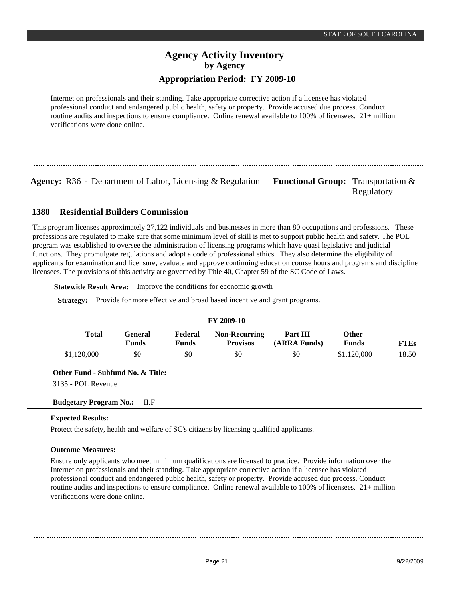Internet on professionals and their standing. Take appropriate corrective action if a licensee has violated professional conduct and endangered public health, safety or property. Provide accused due process. Conduct routine audits and inspections to ensure compliance. Online renewal available to 100% of licensees. 21+ million verifications were done online.

**Agency:** R36 - Department of Labor, Licensing & Regulation Functional Group: Transportation &

Regulatory

#### **Residential Builders Commission 1380**

This program licenses approximately 27,122 individuals and businesses in more than 80 occupations and professions. These professions are regulated to make sure that some minimum level of skill is met to support public health and safety. The POL program was established to oversee the administration of licensing programs which have quasi legislative and judicial functions. They promulgate regulations and adopt a code of professional ethics. They also determine the eligibility of applicants for examination and licensure, evaluate and approve continuing education course hours and programs and discipline licensees. The provisions of this activity are governed by Title 40, Chapter 59 of the SC Code of Laws.

**Statewide Result Area:** Improve the conditions for economic growth

**Strategy:** Provide for more effective and broad based incentive and grant programs.

| FY 2009-10   |                  |                  |                                         |                          |                |             |  |  |  |  |  |
|--------------|------------------|------------------|-----------------------------------------|--------------------------|----------------|-------------|--|--|--|--|--|
| <b>Total</b> | General<br>Funds | Federal<br>Funds | <b>Non-Recurring</b><br><b>Provisos</b> | Part III<br>(ARRA Funds) | Other<br>Funds | <b>FTEs</b> |  |  |  |  |  |
| \$1,120,000  | \$0              | \$0              | \$0                                     | \$0                      | \$1,120,000    | 18.50       |  |  |  |  |  |

**FY 2009-10**

**Other Fund - Subfund No. & Title:**

3135 - POL Revenue

## **Budgetary Program No.:** II.F

## **Expected Results:**

Protect the safety, health and welfare of SC's citizens by licensing qualified applicants.

## **Outcome Measures:**

Ensure only applicants who meet minimum qualifications are licensed to practice. Provide information over the Internet on professionals and their standing. Take appropriate corrective action if a licensee has violated professional conduct and endangered public health, safety or property. Provide accused due process. Conduct routine audits and inspections to ensure compliance. Online renewal available to 100% of licensees. 21+ million verifications were done online.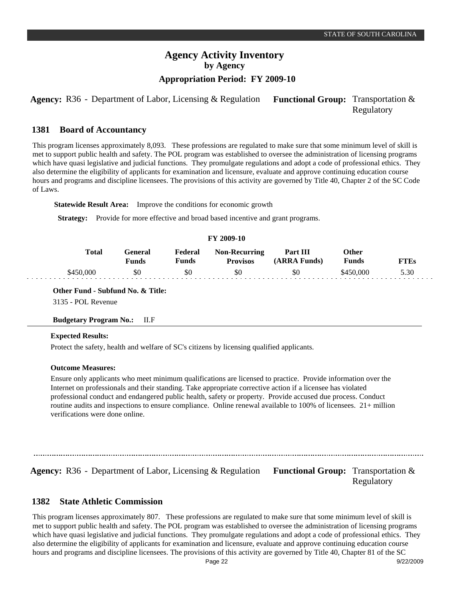**Agency:** R36 - Department of Labor, Licensing & Regulation Functional Group: Transportation & Regulatory

#### **Board of Accountancy 1381**

This program licenses approximately 8,093. These professions are regulated to make sure that some minimum level of skill is met to support public health and safety. The POL program was established to oversee the administration of licensing programs which have quasi legislative and judicial functions. They promulgate regulations and adopt a code of professional ethics. They also determine the eligibility of applicants for examination and licensure, evaluate and approve continuing education course hours and programs and discipline licensees. The provisions of this activity are governed by Title 40, Chapter 2 of the SC Code of Laws.

**Statewide Result Area:** Improve the conditions for economic growth

**Strategy:** Provide for more effective and broad based incentive and grant programs.

#### **FY 2009-10**

| [`otal    | Feneral<br><sup>v</sup> unds | Federal<br>†unds | <b>Non-Recurring</b><br><b>Provisos</b> | <b>Part III</b><br>(ARRA Funds) | <b>Other</b><br><b>Funds</b> | TTEs |
|-----------|------------------------------|------------------|-----------------------------------------|---------------------------------|------------------------------|------|
| \$450,000 | \$0                          | SC               | \$0                                     | \$0                             | 0.000                        | 5.30 |

**Other Fund - Subfund No. & Title:** 3135 - POL Revenue

## **Budgetary Program No.:** II.F

#### **Expected Results:**

Protect the safety, health and welfare of SC's citizens by licensing qualified applicants.

#### **Outcome Measures:**

Ensure only applicants who meet minimum qualifications are licensed to practice. Provide information over the Internet on professionals and their standing. Take appropriate corrective action if a licensee has violated professional conduct and endangered public health, safety or property. Provide accused due process. Conduct routine audits and inspections to ensure compliance. Online renewal available to 100% of licensees. 21+ million verifications were done online.

**Agency:** R36 - Department of Labor, Licensing & Regulation Functional Group: Transportation & Regulatory

#### **State Athletic Commission 1382**

This program licenses approximately 807. These professions are regulated to make sure that some minimum level of skill is met to support public health and safety. The POL program was established to oversee the administration of licensing programs which have quasi legislative and judicial functions. They promulgate regulations and adopt a code of professional ethics. They also determine the eligibility of applicants for examination and licensure, evaluate and approve continuing education course hours and programs and discipline licensees. The provisions of this activity are governed by Title 40, Chapter 81 of the SC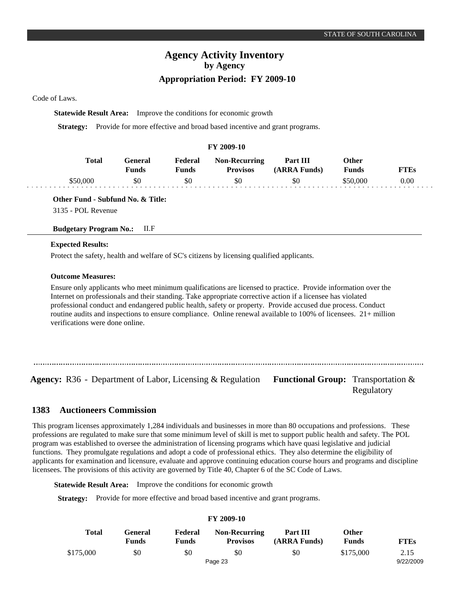Code of Laws.

**Statewide Result Area:** Improve the conditions for economic growth

**Strategy:** Provide for more effective and broad based incentive and grant programs.

#### **FY 2009-10**

| Total | Feneral<br>Funds | Federal<br>$T$ unds | <b>Non-Recurring</b><br><b>Provisos</b> | Part III<br><b>RRA Funds</b> ) | Other<br>Funds | FTEs |
|-------|------------------|---------------------|-----------------------------------------|--------------------------------|----------------|------|
|       | \$0              | \$0                 | \$0                                     | \$0                            | :50.000        | 0.00 |

## **Other Fund - Subfund No. & Title:**

3135 - POL Revenue

## **Budgetary Program No.:** II.F

#### **Expected Results:**

Protect the safety, health and welfare of SC's citizens by licensing qualified applicants.

#### **Outcome Measures:**

Ensure only applicants who meet minimum qualifications are licensed to practice. Provide information over the Internet on professionals and their standing. Take appropriate corrective action if a licensee has violated professional conduct and endangered public health, safety or property. Provide accused due process. Conduct routine audits and inspections to ensure compliance. Online renewal available to 100% of licensees. 21+ million verifications were done online.

**Agency:** R36 - Department of Labor, Licensing & Regulation Functional Group: Transportation & Regulatory

#### **Auctioneers Commission 1383**

This program licenses approximately 1,284 individuals and businesses in more than 80 occupations and professions. These professions are regulated to make sure that some minimum level of skill is met to support public health and safety. The POL program was established to oversee the administration of licensing programs which have quasi legislative and judicial functions. They promulgate regulations and adopt a code of professional ethics. They also determine the eligibility of applicants for examination and licensure, evaluate and approve continuing education course hours and programs and discipline licensees. The provisions of this activity are governed by Title 40, Chapter 6 of the SC Code of Laws.

**Statewide Result Area:** Improve the conditions for economic growth

**Strategy:** Provide for more effective and broad based incentive and grant programs.

# **FY 2009-10**

| <b>Total</b> | General<br><b>Funds</b> | Federal<br><b>Funds</b> | <b>Non-Recurring</b><br><b>Provisos</b> | Part III<br>(ARRA Funds) | Other<br>Funds | <b>FTEs</b> |
|--------------|-------------------------|-------------------------|-----------------------------------------|--------------------------|----------------|-------------|
| \$175,000    | \$0                     | \$0                     | \$0                                     | \$0                      | \$175,000      | 2.15        |
|              |                         |                         | Page 23                                 |                          |                | 9/22/2009   |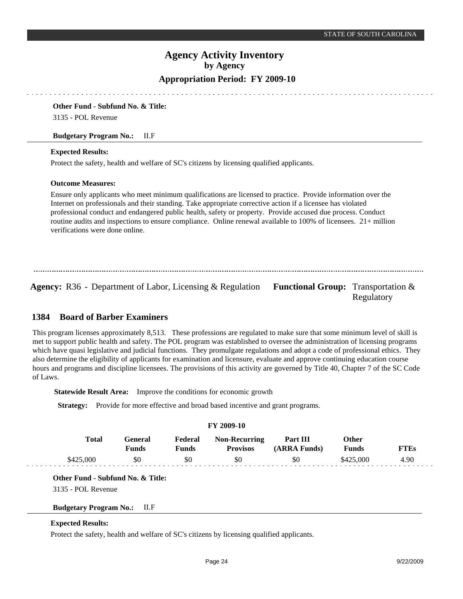## **Appropriation Period: FY 2009-10**

#### **Other Fund - Subfund No. & Title:**

3135 - POL Revenue

#### **Budgetary Program No.:** II.F

#### **Expected Results:**

Protect the safety, health and welfare of SC's citizens by licensing qualified applicants.

#### **Outcome Measures:**

Ensure only applicants who meet minimum qualifications are licensed to practice. Provide information over the Internet on professionals and their standing. Take appropriate corrective action if a licensee has violated professional conduct and endangered public health, safety or property. Provide accused due process. Conduct routine audits and inspections to ensure compliance. Online renewal available to 100% of licensees. 21+ million verifications were done online.

Agency: R36 - Department of Labor, Licensing & Regulation Functional Group: Transportation &

Regulatory

#### **Board of Barber Examiners 1384**

This program licenses approximately 8,513. These professions are regulated to make sure that some minimum level of skill is met to support public health and safety. The POL program was established to oversee the administration of licensing programs which have quasi legislative and judicial functions. They promulgate regulations and adopt a code of professional ethics. They also determine the eligibility of applicants for examination and licensure, evaluate and approve continuing education course hours and programs and discipline licensees. The provisions of this activity are governed by Title 40, Chapter 7 of the SC Code of Laws.

**Statewide Result Area:** Improve the conditions for economic growth

**Strategy:** Provide for more effective and broad based incentive and grant programs.

| <b>FY 2009-10</b> |           |                  |                  |                                         |                          |                       |             |  |  |  |  |
|-------------------|-----------|------------------|------------------|-----------------------------------------|--------------------------|-----------------------|-------------|--|--|--|--|
|                   | Total     | General<br>Funds | Federal<br>Funds | <b>Non-Recurring</b><br><b>Provisos</b> | Part III<br>(ARRA Funds) | Other<br><b>Funds</b> | <b>FTEs</b> |  |  |  |  |
|                   | \$425,000 | \$0              | \$0              | \$0                                     | \$0                      | \$425,000             | 4.90        |  |  |  |  |

**Other Fund - Subfund No. & Title:**

3135 - POL Revenue

## **Budgetary Program No.:** II.F

#### **Expected Results:**

Protect the safety, health and welfare of SC's citizens by licensing qualified applicants.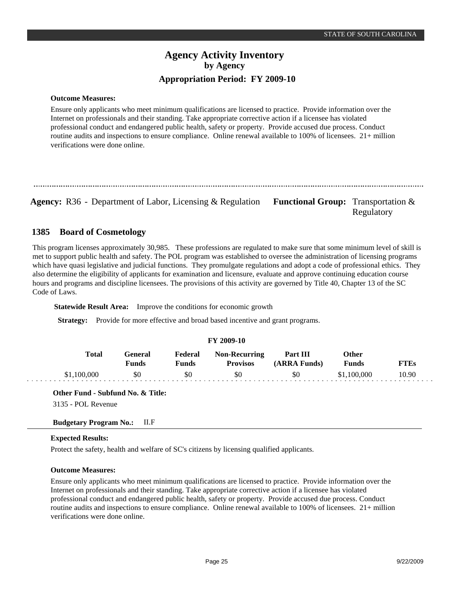**Outcome Measures:**

Ensure only applicants who meet minimum qualifications are licensed to practice. Provide information over the Internet on professionals and their standing. Take appropriate corrective action if a licensee has violated professional conduct and endangered public health, safety or property. Provide accused due process. Conduct routine audits and inspections to ensure compliance. Online renewal available to 100% of licensees. 21+ million verifications were done online.

**Agency:** R36 - Department of Labor, Licensing & Regulation Functional Group: Transportation &

Regulatory

#### **Board of Cosmetology 1385**

This program licenses approximately 30,985. These professions are regulated to make sure that some minimum level of skill is met to support public health and safety. The POL program was established to oversee the administration of licensing programs which have quasi legislative and judicial functions. They promulgate regulations and adopt a code of professional ethics. They also determine the eligibility of applicants for examination and licensure, evaluate and approve continuing education course hours and programs and discipline licensees. The provisions of this activity are governed by Title 40, Chapter 13 of the SC Code of Laws.

**Statewide Result Area:** Improve the conditions for economic growth

**Strategy:** Provide for more effective and broad based incentive and grant programs.

#### **FY 2009-10 General Funds**  \$0 **Other Funds** \$1,100,000 **Federal Funds**  \$0 **FTEs** 10.90 **Total**  \$1,100,000 **Non-Recurring Provisos** \$0 **Part III (ARRA Funds)** \$0

## **Other Fund - Subfund No. & Title:**

3135 - POL Revenue

## **Budgetary Program No.:** II.F

## **Expected Results:**

Protect the safety, health and welfare of SC's citizens by licensing qualified applicants.

## **Outcome Measures:**

Ensure only applicants who meet minimum qualifications are licensed to practice. Provide information over the Internet on professionals and their standing. Take appropriate corrective action if a licensee has violated professional conduct and endangered public health, safety or property. Provide accused due process. Conduct routine audits and inspections to ensure compliance. Online renewal available to 100% of licensees. 21+ million verifications were done online.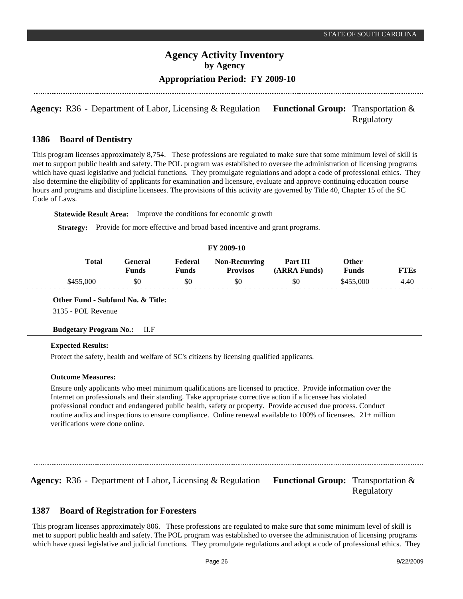## **Appropriation Period: FY 2009-10**

**Agency:** R36 - Department of Labor, Licensing & Regulation Functional Group: Transportation & Regulatory

#### **Board of Dentistry 1386**

This program licenses approximately 8,754. These professions are regulated to make sure that some minimum level of skill is met to support public health and safety. The POL program was established to oversee the administration of licensing programs which have quasi legislative and judicial functions. They promulgate regulations and adopt a code of professional ethics. They also determine the eligibility of applicants for examination and licensure, evaluate and approve continuing education course hours and programs and discipline licensees. The provisions of this activity are governed by Title 40, Chapter 15 of the SC Code of Laws.

**Statewide Result Area:** Improve the conditions for economic growth

**Strategy:** Provide for more effective and broad based incentive and grant programs.

## **FY 2009-10**

| Total     | General)<br>Funds | Federal<br>Funds | <b>Non-Recurring</b><br><b>Provisos</b> | Part III<br>(ARRA Funds) | Other<br><b>Funds</b> | FTEs |
|-----------|-------------------|------------------|-----------------------------------------|--------------------------|-----------------------|------|
| \$455,000 | \$0               |                  | \$0                                     | \$0                      | \$455,000             | 4.40 |

#### **Other Fund - Subfund No. & Title:**

3135 - POL Revenue

## **Budgetary Program No.:** II.F

## **Expected Results:**

Protect the safety, health and welfare of SC's citizens by licensing qualified applicants.

#### **Outcome Measures:**

Ensure only applicants who meet minimum qualifications are licensed to practice. Provide information over the Internet on professionals and their standing. Take appropriate corrective action if a licensee has violated professional conduct and endangered public health, safety or property. Provide accused due process. Conduct routine audits and inspections to ensure compliance. Online renewal available to 100% of licensees. 21+ million verifications were done online.

**Agency:** R36 - Department of Labor, Licensing & Regulation Functional Group: Transportation &

Regulatory

#### **Board of Registration for Foresters 1387**

This program licenses approximately 806. These professions are regulated to make sure that some minimum level of skill is met to support public health and safety. The POL program was established to oversee the administration of licensing programs which have quasi legislative and judicial functions. They promulgate regulations and adopt a code of professional ethics. They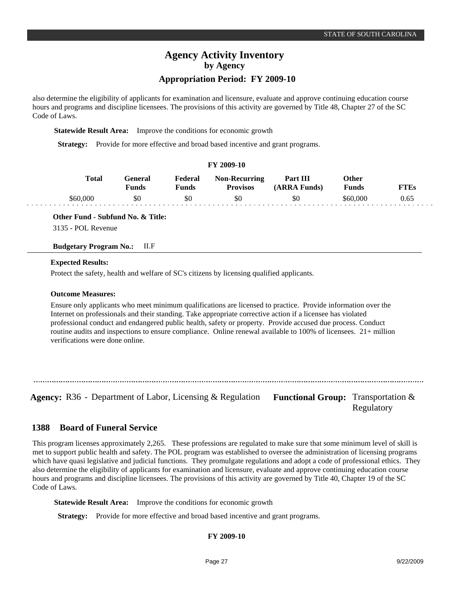## **Appropriation Period: FY 2009-10**

also determine the eligibility of applicants for examination and licensure, evaluate and approve continuing education course hours and programs and discipline licensees. The provisions of this activity are governed by Title 48, Chapter 27 of the SC Code of Laws.

**Statewide Result Area:** Improve the conditions for economic growth

**Strategy:** Provide for more effective and broad based incentive and grant programs.

| FY 2009-10 |                          |                         |                                         |                          |                              |             |  |  |  |  |  |
|------------|--------------------------|-------------------------|-----------------------------------------|--------------------------|------------------------------|-------------|--|--|--|--|--|
| Total      | General)<br><b>Funds</b> | Federal<br><b>Funds</b> | <b>Non-Recurring</b><br><b>Provisos</b> | Part III<br>(ARRA Funds) | <b>Other</b><br><b>Funds</b> | <b>FTEs</b> |  |  |  |  |  |
| \$60,000   | \$0                      | \$0                     | \$0                                     | \$0                      | \$60,000                     | 0.65        |  |  |  |  |  |

**Other Fund - Subfund No. & Title:**

3135 - POL Revenue

## **Budgetary Program No.:** II.F

#### **Expected Results:**

Protect the safety, health and welfare of SC's citizens by licensing qualified applicants.

#### **Outcome Measures:**

Ensure only applicants who meet minimum qualifications are licensed to practice. Provide information over the Internet on professionals and their standing. Take appropriate corrective action if a licensee has violated professional conduct and endangered public health, safety or property. Provide accused due process. Conduct routine audits and inspections to ensure compliance. Online renewal available to 100% of licensees. 21+ million verifications were done online.

Agency: R36 - Department of Labor, Licensing & Regulation Functional Group: Transportation &

Regulatory

#### **Board of Funeral Service 1388**

This program licenses approximately 2,265. These professions are regulated to make sure that some minimum level of skill is met to support public health and safety. The POL program was established to oversee the administration of licensing programs which have quasi legislative and judicial functions. They promulgate regulations and adopt a code of professional ethics. They also determine the eligibility of applicants for examination and licensure, evaluate and approve continuing education course hours and programs and discipline licensees. The provisions of this activity are governed by Title 40, Chapter 19 of the SC Code of Laws.

**Statewide Result Area:** Improve the conditions for economic growth

**Strategy:** Provide for more effective and broad based incentive and grant programs.

## **FY 2009-10**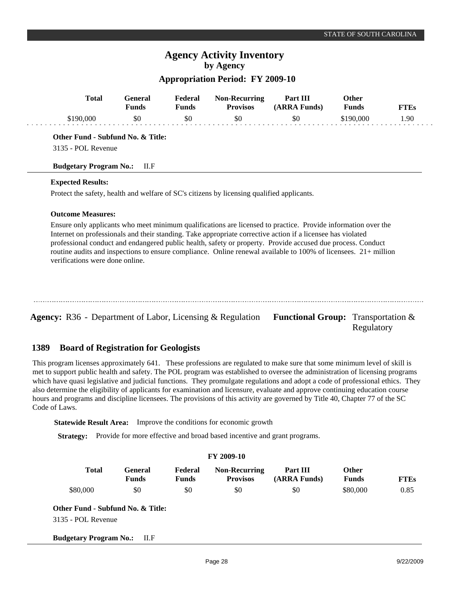# **Agency Activity Inventory by Agency**

## **Appropriation Period: FY 2009-10**

| <b>Total</b>                      | <b>General</b><br><b>Funds</b> | Federal<br><b>Funds</b> | <b>Non-Recurring</b><br><b>Provisos</b>                                                    | Part III<br>(ARRA Funds)                                                                                                                                                                                                                                                                                                                                                                                                                                       | Other<br><b>Funds</b> | <b>FTEs</b> |
|-----------------------------------|--------------------------------|-------------------------|--------------------------------------------------------------------------------------------|----------------------------------------------------------------------------------------------------------------------------------------------------------------------------------------------------------------------------------------------------------------------------------------------------------------------------------------------------------------------------------------------------------------------------------------------------------------|-----------------------|-------------|
| \$190,000                         | \$0                            | \$0                     | \$0                                                                                        | \$0                                                                                                                                                                                                                                                                                                                                                                                                                                                            | \$190,000             | 1.90        |
| Other Fund - Subfund No. & Title: |                                |                         |                                                                                            |                                                                                                                                                                                                                                                                                                                                                                                                                                                                |                       |             |
| 3135 - POL Revenue                |                                |                         |                                                                                            |                                                                                                                                                                                                                                                                                                                                                                                                                                                                |                       |             |
| <b>Budgetary Program No.:</b>     | ILF                            |                         |                                                                                            |                                                                                                                                                                                                                                                                                                                                                                                                                                                                |                       |             |
| <b>Expected Results:</b>          |                                |                         |                                                                                            |                                                                                                                                                                                                                                                                                                                                                                                                                                                                |                       |             |
|                                   |                                |                         | Protect the safety, health and welfare of SC's citizens by licensing qualified applicants. |                                                                                                                                                                                                                                                                                                                                                                                                                                                                |                       |             |
| <b>Outcome Measures:</b>          |                                |                         |                                                                                            |                                                                                                                                                                                                                                                                                                                                                                                                                                                                |                       |             |
|                                   |                                |                         |                                                                                            | Ensure only applicants who meet minimum qualifications are licensed to practice. Provide information over the<br>Internet on professionals and their standing. Take appropriate corrective action if a licensee has violated<br>professional conduct and endangered public health, safety or property. Provide accused due process. Conduct<br>routine audits and inspections to ensure compliance. Online renewal available to 100% of licensees. 21+ million |                       |             |

#### **Board of Registration for Geologists 1389**

This program licenses approximately 641. These professions are regulated to make sure that some minimum level of skill is met to support public health and safety. The POL program was established to oversee the administration of licensing programs which have quasi legislative and judicial functions. They promulgate regulations and adopt a code of professional ethics. They also determine the eligibility of applicants for examination and licensure, evaluate and approve continuing education course hours and programs and discipline licensees. The provisions of this activity are governed by Title 40, Chapter 77 of the SC Code of Laws.

**Statewide Result Area:** Improve the conditions for economic growth

**Strategy:** Provide for more effective and broad based incentive and grant programs.

| FY 2009-10                        |                         |                         |                                         |                          |                              |             |  |  |  |  |
|-----------------------------------|-------------------------|-------------------------|-----------------------------------------|--------------------------|------------------------------|-------------|--|--|--|--|
| <b>Total</b>                      | General<br><b>Funds</b> | Federal<br><b>Funds</b> | <b>Non-Recurring</b><br><b>Provisos</b> | Part III<br>(ARRA Funds) | <b>Other</b><br><b>Funds</b> | <b>FTEs</b> |  |  |  |  |
| \$80,000                          | \$0                     | \$0                     | \$0                                     | \$0                      | \$80,000                     | 0.85        |  |  |  |  |
| Other Fund - Subfund No. & Title: |                         |                         |                                         |                          |                              |             |  |  |  |  |
| 3135 - POL Revenue                |                         |                         |                                         |                          |                              |             |  |  |  |  |
| <b>Budgetary Program No.:</b>     | II.F                    |                         |                                         |                          |                              |             |  |  |  |  |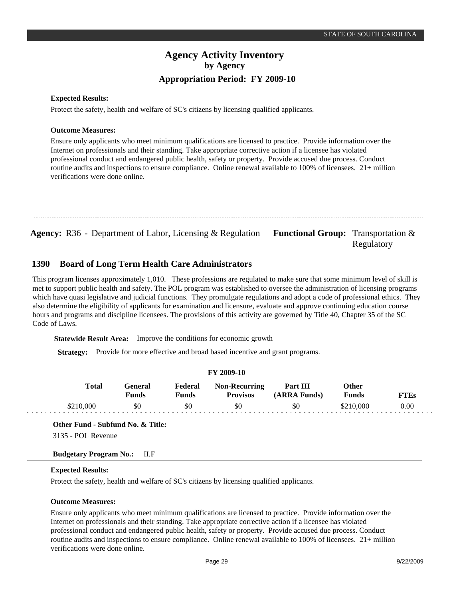# **Agency Activity Inventory by Agency Appropriation Period: FY 2009-10**

#### **Expected Results:**

Protect the safety, health and welfare of SC's citizens by licensing qualified applicants.

#### **Outcome Measures:**

**1390**

Ensure only applicants who meet minimum qualifications are licensed to practice. Provide information over the Internet on professionals and their standing. Take appropriate corrective action if a licensee has violated professional conduct and endangered public health, safety or property. Provide accused due process. Conduct routine audits and inspections to ensure compliance. Online renewal available to 100% of licensees. 21+ million verifications were done online.

```
Agency: R36 - Department of Labor, Licensing & Regulation Functional Group: Transportation &
```
# **Board of Long Term Health Care Administrators**

This program licenses approximately 1,010. These professions are regulated to make sure that some minimum level of skill is met to support public health and safety. The POL program was established to oversee the administration of licensing programs which have quasi legislative and judicial functions. They promulgate regulations and adopt a code of professional ethics. They also determine the eligibility of applicants for examination and licensure, evaluate and approve continuing education course hours and programs and discipline licensees. The provisions of this activity are governed by Title 40, Chapter 35 of the SC Code of Laws.

**Statewide Result Area:** Improve the conditions for economic growth

**Strategy:** Provide for more effective and broad based incentive and grant programs.

| FY 2009-10 |                  |                  |                                         |                          |                              |             |  |  |  |  |
|------------|------------------|------------------|-----------------------------------------|--------------------------|------------------------------|-------------|--|--|--|--|
| Total      | General<br>Funds | Federal<br>Funds | <b>Non-Recurring</b><br><b>Provisos</b> | Part III<br>(ARRA Funds) | <b>Other</b><br><b>Funds</b> | <b>FTEs</b> |  |  |  |  |
| \$210,000  | \$0              | \$0              | \$0                                     | \$0                      | \$210,000                    | 0.00        |  |  |  |  |

#### **Other Fund - Subfund No. & Title:**

3135 - POL Revenue

## **Budgetary Program No.:** II.F

#### **Expected Results:**

Protect the safety, health and welfare of SC's citizens by licensing qualified applicants.

## **Outcome Measures:**

Ensure only applicants who meet minimum qualifications are licensed to practice. Provide information over the Internet on professionals and their standing. Take appropriate corrective action if a licensee has violated professional conduct and endangered public health, safety or property. Provide accused due process. Conduct routine audits and inspections to ensure compliance. Online renewal available to 100% of licensees. 21+ million verifications were done online.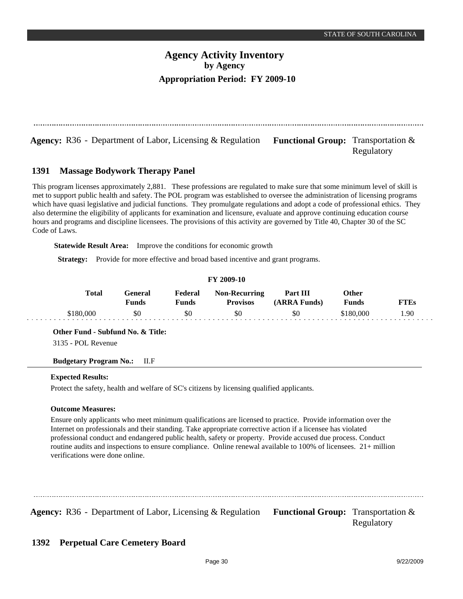**Agency:** R36 - Department of Labor, Licensing & Regulation **Functional Group:** Transportation &

Regulatory

#### **Massage Bodywork Therapy Panel 1391**

This program licenses approximately 2,881. These professions are regulated to make sure that some minimum level of skill is met to support public health and safety. The POL program was established to oversee the administration of licensing programs which have quasi legislative and judicial functions. They promulgate regulations and adopt a code of professional ethics. They also determine the eligibility of applicants for examination and licensure, evaluate and approve continuing education course hours and programs and discipline licensees. The provisions of this activity are governed by Title 40, Chapter 30 of the SC Code of Laws.

**Statewide Result Area:** Improve the conditions for economic growth

**Strategy:** Provide for more effective and broad based incentive and grant programs.

| <b>FY 2009-10</b> |                         |                         |                                         |                          |                       |             |  |  |  |  |
|-------------------|-------------------------|-------------------------|-----------------------------------------|--------------------------|-----------------------|-------------|--|--|--|--|
| Total             | General<br><b>Funds</b> | Federal<br><b>Funds</b> | <b>Non-Recurring</b><br><b>Provisos</b> | Part III<br>(ARRA Funds) | Other<br><b>Funds</b> | <b>FTEs</b> |  |  |  |  |
| \$180,000         | \$0                     | \$0                     | \$0                                     | \$0                      | \$180,000             | l.90        |  |  |  |  |

**Other Fund - Subfund No. & Title:**

3135 - POL Revenue

**Budgetary Program No.:** II.F

## **Expected Results:**

Protect the safety, health and welfare of SC's citizens by licensing qualified applicants.

## **Outcome Measures:**

Ensure only applicants who meet minimum qualifications are licensed to practice. Provide information over the Internet on professionals and their standing. Take appropriate corrective action if a licensee has violated professional conduct and endangered public health, safety or property. Provide accused due process. Conduct routine audits and inspections to ensure compliance. Online renewal available to 100% of licensees. 21+ million verifications were done online.

**Agency:** R36 - Department of Labor, Licensing & Regulation Functional Group: Transportation &

Regulatory

#### **Perpetual Care Cemetery Board 1392**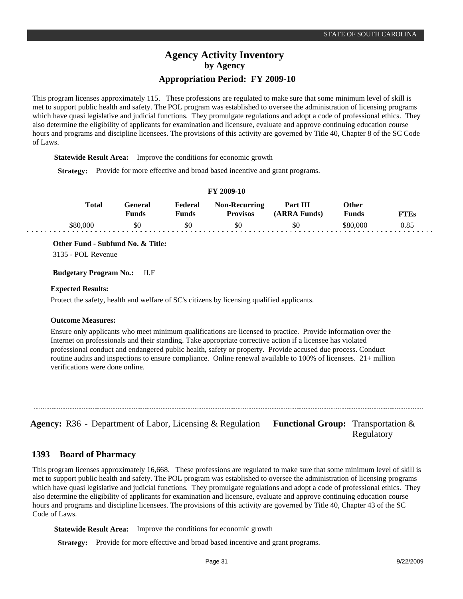This program licenses approximately 115. These professions are regulated to make sure that some minimum level of skill is met to support public health and safety. The POL program was established to oversee the administration of licensing programs which have quasi legislative and judicial functions. They promulgate regulations and adopt a code of professional ethics. They also determine the eligibility of applicants for examination and licensure, evaluate and approve continuing education course hours and programs and discipline licensees. The provisions of this activity are governed by Title 40, Chapter 8 of the SC Code of Laws.

**Statewide Result Area:** Improve the conditions for economic growth

**Strategy:** Provide for more effective and broad based incentive and grant programs.

| <b>FY 2009-10</b> |                  |                  |                                  |                          |                       |             |  |  |  |  |
|-------------------|------------------|------------------|----------------------------------|--------------------------|-----------------------|-------------|--|--|--|--|
| Total             | General<br>Funds | Federal<br>Funds | Non-Recurring<br><b>Provisos</b> | Part III<br>(ARRA Funds) | Other<br><b>Funds</b> | <b>FTEs</b> |  |  |  |  |
| \$80,000          | \$0              | \$0              | \$0                              | \$0                      | \$80.000              | 0.85        |  |  |  |  |

**Other Fund - Subfund No. & Title:**

3135 - POL Revenue

**Budgetary Program No.:** II.F

#### **Expected Results:**

Protect the safety, health and welfare of SC's citizens by licensing qualified applicants.

#### **Outcome Measures:**

Ensure only applicants who meet minimum qualifications are licensed to practice. Provide information over the Internet on professionals and their standing. Take appropriate corrective action if a licensee has violated professional conduct and endangered public health, safety or property. Provide accused due process. Conduct routine audits and inspections to ensure compliance. Online renewal available to 100% of licensees. 21+ million verifications were done online.

**Agency:** R36 - Department of Labor, Licensing & Regulation Functional Group: Transportation &

Regulatory

#### **Board of Pharmacy 1393**

This program licenses approximately 16,668. These professions are regulated to make sure that some minimum level of skill is met to support public health and safety. The POL program was established to oversee the administration of licensing programs which have quasi legislative and judicial functions. They promulgate regulations and adopt a code of professional ethics. They also determine the eligibility of applicants for examination and licensure, evaluate and approve continuing education course hours and programs and discipline licensees. The provisions of this activity are governed by Title 40, Chapter 43 of the SC Code of Laws.

**Statewide Result Area:** Improve the conditions for economic growth

**Strategy:** Provide for more effective and broad based incentive and grant programs.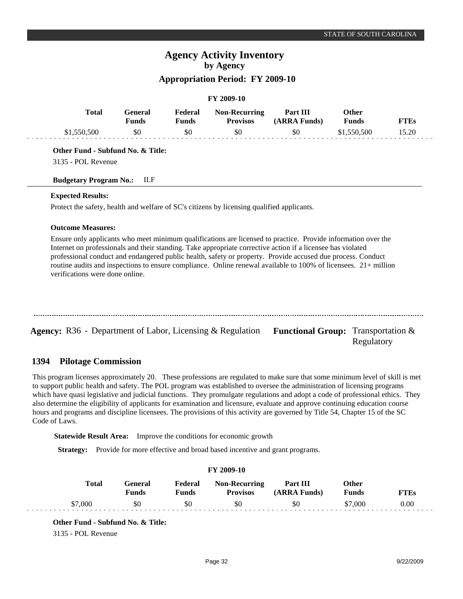# **Agency Activity Inventory by Agency**

# **Appropriation Period: FY 2009-10**

#### **FY 2009-10**

| <b>Total</b> | General)<br><b>Funds</b> | Federal<br>Funds | <b>Non-Recurring</b><br><b>Provisos</b> | Part III<br>(ARRA Funds) | Other<br><b>Funds</b> | FT Es |  |
|--------------|--------------------------|------------------|-----------------------------------------|--------------------------|-----------------------|-------|--|
| \$1,550,500  | \$0                      | \$0              | \$0                                     | \$0                      | \$1,550,500           | 15.20 |  |

## **Other Fund - Subfund No. & Title:**

3135 - POL Revenue

#### **Budgetary Program No.:** II.F

#### **Expected Results:**

Protect the safety, health and welfare of SC's citizens by licensing qualified applicants.

#### **Outcome Measures:**

Ensure only applicants who meet minimum qualifications are licensed to practice. Provide information over the Internet on professionals and their standing. Take appropriate corrective action if a licensee has violated professional conduct and endangered public health, safety or property. Provide accused due process. Conduct routine audits and inspections to ensure compliance. Online renewal available to 100% of licensees. 21+ million verifications were done online.

| <b>Agency:</b> R36 - Department of Labor, Licensing & Regulation Functional Group: Transportation & |  |
|-----------------------------------------------------------------------------------------------------|--|

#### **Pilotage Commission 1394**

This program licenses approximately 20. These professions are regulated to make sure that some minimum level of skill is met to support public health and safety. The POL program was established to oversee the administration of licensing programs which have quasi legislative and judicial functions. They promulgate regulations and adopt a code of professional ethics. They also determine the eligibility of applicants for examination and licensure, evaluate and approve continuing education course hours and programs and discipline licensees. The provisions of this activity are governed by Title 54, Chapter 15 of the SC Code of Laws.

**Statewide Result Area:** Improve the conditions for economic growth

**Strategy:** Provide for more effective and broad based incentive and grant programs.

| <b>FY 2009-10</b> |              |                  |                         |                                         |                          |                |             |
|-------------------|--------------|------------------|-------------------------|-----------------------------------------|--------------------------|----------------|-------------|
|                   | <b>Total</b> | General<br>Funds | Federal<br><b>Funds</b> | <b>Non-Recurring</b><br><b>Provisos</b> | Part III<br>(ARRA Funds) | Other<br>Funds | <b>FTEs</b> |
|                   | \$7,000      | \$0              | \$0                     | \$0                                     | \$0                      | \$7,000        | 0.00        |

# **Other Fund - Subfund No. & Title:**

3135 - POL Revenue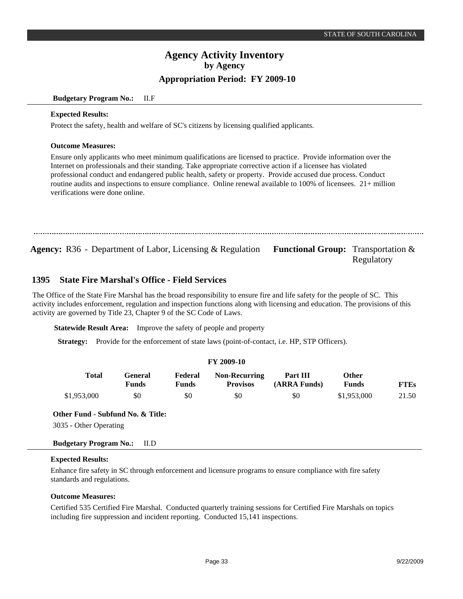#### **Budgetary Program No.:** II.F

#### **Expected Results:**

Protect the safety, health and welfare of SC's citizens by licensing qualified applicants.

#### **Outcome Measures:**

Ensure only applicants who meet minimum qualifications are licensed to practice. Provide information over the Internet on professionals and their standing. Take appropriate corrective action if a licensee has violated professional conduct and endangered public health, safety or property. Provide accused due process. Conduct routine audits and inspections to ensure compliance. Online renewal available to 100% of licensees. 21+ million verifications were done online.

Agency: R36 - Department of Labor, Licensing & Regulation Functional Group: Transportation &

# Regulatory

#### **State Fire Marshal's Office - Field Services 1395**

The Office of the State Fire Marshal has the broad responsibility to ensure fire and life safety for the people of SC. This activity includes enforcement, regulation and inspection functions along with licensing and education. The provisions of this activity are governed by Title 23, Chapter 9 of the SC Code of Laws.

**Statewide Result Area:** Improve the safety of people and property

**Strategy:** Provide for the enforcement of state laws (point-of-contact, i.e. HP, STP Officers).

|             |                         |                         | FY 2009-10                              |                          |                              |             |
|-------------|-------------------------|-------------------------|-----------------------------------------|--------------------------|------------------------------|-------------|
| Total       | General<br><b>Funds</b> | Federal<br><b>Funds</b> | <b>Non-Recurring</b><br><b>Provisos</b> | Part III<br>(ARRA Funds) | <b>Other</b><br><b>Funds</b> | <b>FTEs</b> |
| \$1,953,000 | \$0                     | \$0                     | \$0                                     | \$0                      | \$1,953,000                  | 21.50       |

#### **Other Fund - Subfund No. & Title:**

3035 - Other Operating

**Budgetary Program No.:** II.D

## **Expected Results:**

Enhance fire safety in SC through enforcement and licensure programs to ensure compliance with fire safety standards and regulations.

## **Outcome Measures:**

Certified 535 Certified Fire Marshal. Conducted quarterly training sessions for Certified Fire Marshals on topics including fire suppression and incident reporting. Conducted 15,141 inspections.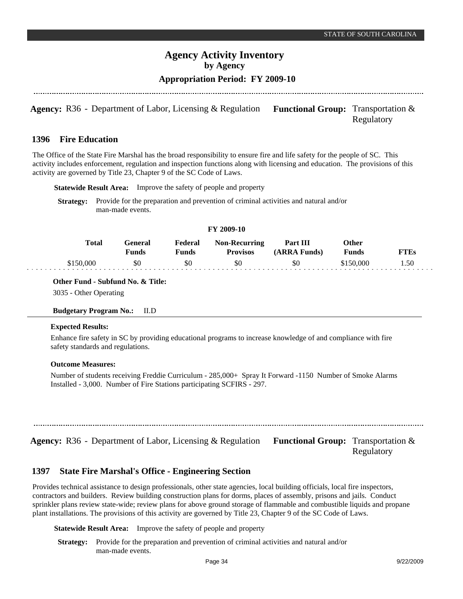## **Appropriation Period: FY 2009-10**

**Agency:** R36 - Department of Labor, Licensing & Regulation Functional Group: Transportation & Regulatory

#### **Fire Education 1396**

The Office of the State Fire Marshal has the broad responsibility to ensure fire and life safety for the people of SC. This activity includes enforcement, regulation and inspection functions along with licensing and education. The provisions of this activity are governed by Title 23, Chapter 9 of the SC Code of Laws.

**Statewide Result Area:** Improve the safety of people and property

**Strategy:** Provide for the preparation and prevention of criminal activities and natural and/or man-made events.

| FY 2009-10 |                         |                         |                                         |                          |                |             |  |
|------------|-------------------------|-------------------------|-----------------------------------------|--------------------------|----------------|-------------|--|
| Total      | General<br><b>Funds</b> | Federal<br><b>Funds</b> | <b>Non-Recurring</b><br><b>Provisos</b> | Part III<br>(ARRA Funds) | Other<br>Funds | <b>FTEs</b> |  |
| \$150,000  | \$0                     | \$0                     | \$0                                     | \$0                      | \$150,000      | l.50        |  |

**FY 2009-10**

**Other Fund - Subfund No. & Title:**

3035 - Other Operating

## **Budgetary Program No.:** II.D

#### **Expected Results:**

Enhance fire safety in SC by providing educational programs to increase knowledge of and compliance with fire safety standards and regulations.

#### **Outcome Measures:**

Number of students receiving Freddie Curriculum - 285,000+ Spray It Forward -1150 Number of Smoke Alarms Installed - 3,000. Number of Fire Stations participating SCFIRS - 297.

**Agency:** R36 - Department of Labor, Licensing & Regulation Functional Group: Transportation &

Regulatory

#### **State Fire Marshal's Office - Engineering Section 1397**

Provides technical assistance to design professionals, other state agencies, local building officials, local fire inspectors, contractors and builders. Review building construction plans for dorms, places of assembly, prisons and jails. Conduct sprinkler plans review state-wide; review plans for above ground storage of flammable and combustible liquids and propane plant installations. The provisions of this activity are governed by Title 23, Chapter 9 of the SC Code of Laws.

**Statewide Result Area:** Improve the safety of people and property

**Strategy:** Provide for the preparation and prevention of criminal activities and natural and/or man-made events.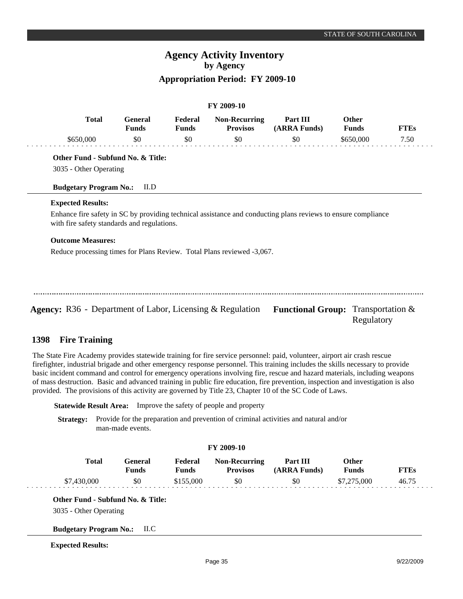# **Appropriation Period: FY 2009-10**

**FY 2009-10**

|                                             |                                |                         | FY 2009-10                              |                                                                                                               |                              |             |
|---------------------------------------------|--------------------------------|-------------------------|-----------------------------------------|---------------------------------------------------------------------------------------------------------------|------------------------------|-------------|
| <b>Total</b>                                | <b>General</b><br><b>Funds</b> | Federal<br><b>Funds</b> | <b>Non-Recurring</b><br><b>Provisos</b> | Part III<br>(ARRA Funds)                                                                                      | <b>Other</b><br><b>Funds</b> | <b>FTEs</b> |
| \$650,000                                   | \$0                            | \$0                     | \$0                                     | \$0                                                                                                           | \$650,000                    | 7.50        |
| Other Fund - Subfund No. & Title:           |                                |                         |                                         |                                                                                                               |                              |             |
| 3035 - Other Operating                      |                                |                         |                                         |                                                                                                               |                              |             |
| <b>Budgetary Program No.:</b>               | II.D                           |                         |                                         |                                                                                                               |                              |             |
| <b>Expected Results:</b>                    |                                |                         |                                         |                                                                                                               |                              |             |
| with fire safety standards and regulations. |                                |                         |                                         | Enhance fire safety in SC by providing technical assistance and conducting plans reviews to ensure compliance |                              |             |
|                                             |                                |                         |                                         |                                                                                                               |                              |             |
| <b>Outcome Measures:</b>                    |                                |                         |                                         |                                                                                                               |                              |             |

Agency: R36 - Department of Labor, Licensing & Regulation Functional Group: Transportation & Regulatory

#### **Fire Training 1398**

The State Fire Academy provides statewide training for fire service personnel: paid, volunteer, airport air crash rescue firefighter, industrial brigade and other emergency response personnel. This training includes the skills necessary to provide basic incident command and control for emergency operations involving fire, rescue and hazard materials, including weapons of mass destruction. Basic and advanced training in public fire education, fire prevention, inspection and investigation is also provided. The provisions of this activity are governed by Title 23, Chapter 10 of the SC Code of Laws.

**Statewide Result Area:** Improve the safety of people and property

**Strategy:** Provide for the preparation and prevention of criminal activities and natural and/or man-made events.

#### **FY 2009-10**

| <b>Total</b> | <b>General</b><br><b>Funds</b> | Federal<br>Funds | <b>Non-Recurring</b><br><b>Provisos</b> | Part III<br>(ARRA Funds) | Other<br><b>Funds</b> | <b>FTEs</b> |
|--------------|--------------------------------|------------------|-----------------------------------------|--------------------------|-----------------------|-------------|
| \$7,430,000  | \$0                            | \$155,000        | \$0                                     | \$0                      | \$7,275,000           | 46.75       |

## **Other Fund - Subfund No. & Title:**

3035 - Other Operating

#### **Budgetary Program No.:** II.C

#### **Expected Results:**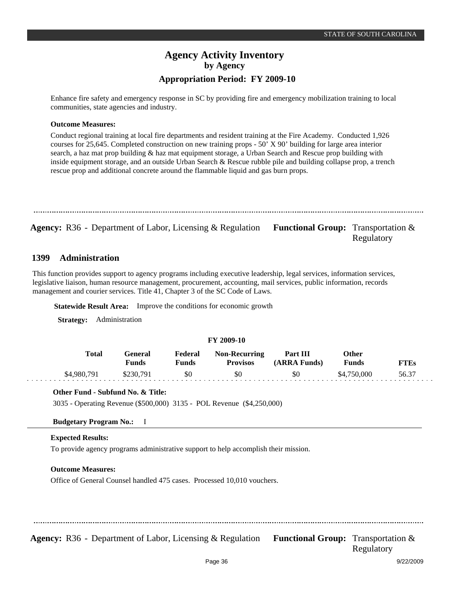Enhance fire safety and emergency response in SC by providing fire and emergency mobilization training to local communities, state agencies and industry.

#### **Outcome Measures:**

Conduct regional training at local fire departments and resident training at the Fire Academy. Conducted 1,926 courses for 25,645. Completed construction on new training props - 50' X 90' building for large area interior search, a haz mat prop building & haz mat equipment storage, a Urban Search and Rescue prop building with inside equipment storage, and an outside Urban Search & Rescue rubble pile and building collapse prop, a trench rescue prop and additional concrete around the flammable liquid and gas burn props.

**Agency:** R36 - Department of Labor, Licensing & Regulation Functional Group: Transportation &

Regulatory

#### **Administration 1399**

This function provides support to agency programs including executive leadership, legal services, information services, legislative liaison, human resource management, procurement, accounting, mail services, public information, records management and courier services. Title 41, Chapter 3 of the SC Code of Laws.

**Statewide Result Area:** Improve the conditions for economic growth

**Strategy:** Administration

#### **FY 2009-10**

| Total       | General<br><b>Funds</b> | Federal<br>Funds | <b>Non-Recurring</b><br><b>Provisos</b> | Part III<br>(ARRA Funds) | Other<br><b>Funds</b> | FTEs  |
|-------------|-------------------------|------------------|-----------------------------------------|--------------------------|-----------------------|-------|
| \$4,980,791 | \$230.791               | \$0              | \$0                                     | \$0                      | \$4,750,000           | 56.37 |

## **Other Fund - Subfund No. & Title:**

3035 - Operating Revenue (\$500,000) 3135 - POL Revenue (\$4,250,000)

#### **Budgetary Program No.:** I

## **Expected Results:**

To provide agency programs administrative support to help accomplish their mission.

## **Outcome Measures:**

Office of General Counsel handled 475 cases. Processed 10,010 vouchers.

**Agency:** R36 - Department of Labor, Licensing & Regulation Functional Group: Transportation &

Regulatory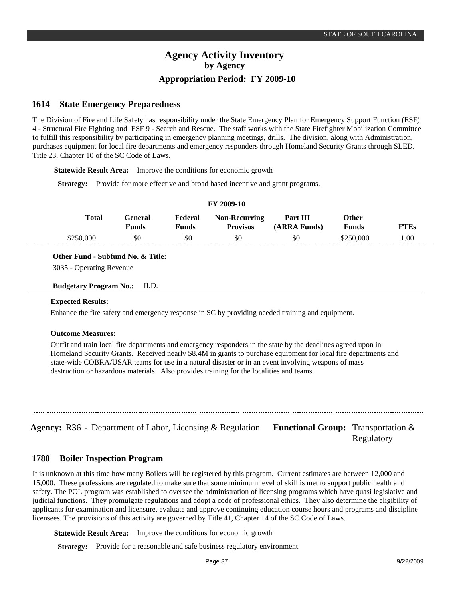#### **State Emergency Preparedness 1614**

The Division of Fire and Life Safety has responsibility under the State Emergency Plan for Emergency Support Function (ESF) 4 - Structural Fire Fighting and ESF 9 - Search and Rescue. The staff works with the State Firefighter Mobilization Committee to fulfill this responsibility by participating in emergency planning meetings, drills. The division, along with Administration, purchases equipment for local fire departments and emergency responders through Homeland Security Grants through SLED. Title 23, Chapter 10 of the SC Code of Laws.

**Statewide Result Area:** Improve the conditions for economic growth

**Strategy:** Provide for more effective and broad based incentive and grant programs.

| <b>FI 2009-10</b> |              |                  |                  |                                         |                          |                |             |  |
|-------------------|--------------|------------------|------------------|-----------------------------------------|--------------------------|----------------|-------------|--|
|                   | <b>Total</b> | General<br>Funds | Federal<br>Funds | <b>Non-Recurring</b><br><b>Provisos</b> | Part III<br>(ARRA Funds) | Other<br>Funds | <b>FTEs</b> |  |
|                   | \$250,000    | \$0              | \$0              | \$0                                     | \$0                      | \$250,000      | 00.1        |  |

**FY 2009-10**

**Other Fund - Subfund No. & Title:**

3035 - Operating Revenue

**Budgetary Program No.:** II.D.

#### **Expected Results:**

Enhance the fire safety and emergency response in SC by providing needed training and equipment.

#### **Outcome Measures:**

Outfit and train local fire departments and emergency responders in the state by the deadlines agreed upon in Homeland Security Grants. Received nearly \$8.4M in grants to purchase equipment for local fire departments and state-wide COBRA/USAR teams for use in a natural disaster or in an event involving weapons of mass destruction or hazardous materials. Also provides training for the localities and teams.

Agency: R36 - Department of Labor, Licensing & Regulation Functional Group: Transportation &

Regulatory

#### **Boiler Inspection Program 1780**

It is unknown at this time how many Boilers will be registered by this program. Current estimates are between 12,000 and 15,000. These professions are regulated to make sure that some minimum level of skill is met to support public health and safety. The POL program was established to oversee the administration of licensing programs which have quasi legislative and judicial functions. They promulgate regulations and adopt a code of professional ethics. They also determine the eligibility of applicants for examination and licensure, evaluate and approve continuing education course hours and programs and discipline licensees. The provisions of this activity are governed by Title 41, Chapter 14 of the SC Code of Laws.

**Statewide Result Area:** Improve the conditions for economic growth

**Strategy:** Provide for a reasonable and safe business regulatory environment.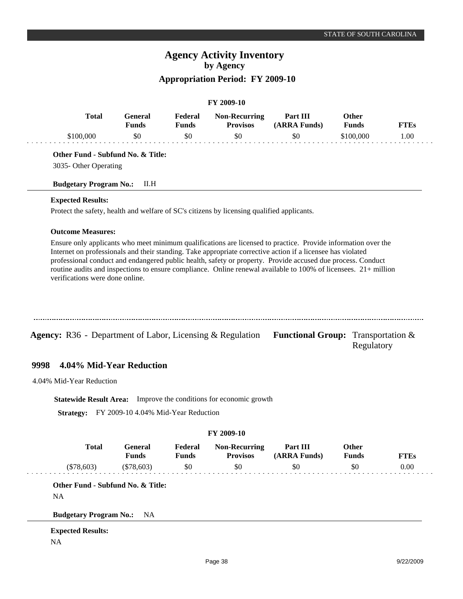# **Agency Activity Inventory by Agency Appropriation Period: FY 2009-10**

#### **FY 2009-10**

| Total    | General<br>∛unds | Federal<br>Funds | <b>Non-Recurring</b><br><b>Provisos</b> | Part III<br>(ARRA Funds) | Other<br><b>Funds</b> | <b>FTEs</b> |
|----------|------------------|------------------|-----------------------------------------|--------------------------|-----------------------|-------------|
| 3100.000 | \$0              | 50               | \$0                                     | 50                       | ™100.000 <sup>™</sup> | 1.00        |

**Other Fund - Subfund No. & Title:**

3035- Other Operating

**Budgetary Program No.:** II.H

## **Expected Results:**

Protect the safety, health and welfare of SC's citizens by licensing qualified applicants.

#### **Outcome Measures:**

Ensure only applicants who meet minimum qualifications are licensed to practice. Provide information over the Internet on professionals and their standing. Take appropriate corrective action if a licensee has violated professional conduct and endangered public health, safety or property. Provide accused due process. Conduct routine audits and inspections to ensure compliance. Online renewal available to 100% of licensees. 21+ million verifications were done online.

| <b>Agency:</b> R36 - Department of Labor, Licensing & Regulation Functional Group: Transportation $\&$ |  |
|--------------------------------------------------------------------------------------------------------|--|

#### **4.04% Mid-Year Reduction 9998**

4.04% Mid-Year Reduction

**Statewide Result Area:** Improve the conditions for economic growth

**Strategy:** FY 2009-10 4.04% Mid-Year Reduction

| <b>Total</b>                      | <b>General</b><br><b>Funds</b> | Federal<br><b>Funds</b> | <b>Non-Recurring</b><br><b>Provisos</b> | Part III<br>(ARRA Funds) | <b>Other</b><br><b>Funds</b> | <b>FTEs</b> |
|-----------------------------------|--------------------------------|-------------------------|-----------------------------------------|--------------------------|------------------------------|-------------|
| $(\$78,603)$                      | $(\$78,603)$                   | \$0                     | \$0                                     | \$0                      | \$0                          | 0.00        |
| Other Fund - Subfund No. & Title: |                                |                         |                                         |                          |                              |             |
| <b>NA</b>                         |                                |                         |                                         |                          |                              |             |

NA